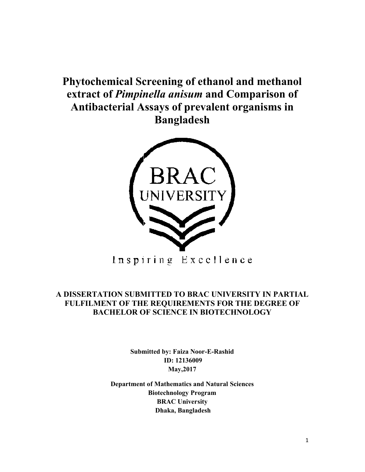**Phytochemical Screening of ethanol and methanol** extract of *Pimpinella anisum* and Comparison of **Antibacterial Assays of prevalent organisms in in Bangladesh**



### **A DISSERTATION SUBMITTED TO BR BRAC UNIVERSITY IN PARTIAL FULFILMENT OF THE REQUIREMENTS FOR THE DEGREE OF BACHELOR OF SCIENCE IN BIOTECHNOLOGY<br>
BACHELOR OF SCIENCE IN BIOTECHNOLOGY<br>
Submitted by: Faiza Noor-E-Rashid BACHELOR OF SCIENCE IN BIOTECHNOLOGY**

**Submitted by: Faiza Noor-E-Rashid ID: 12136009 May,2017**

**Department of Mathematics and Natural Sciences Department of Biotechnology Program BRAC University Dhaka, Bangladesh**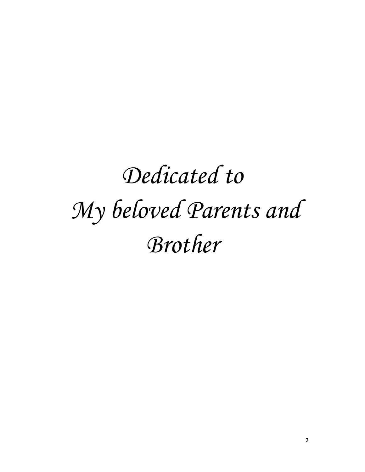# *Dedicated to My beloved Parents and Brother*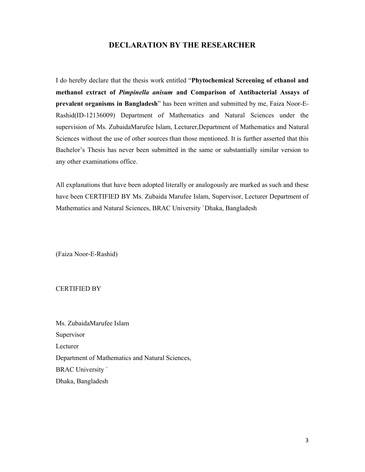#### **DECLARATION BY THE RESEARCHER**

I do hereby declare that the thesis work entitled "**Phytochemical Screening of ethanol and methanol extract of** *Pimpinella anisum* **and Comparison of Antibacterial Assays of prevalent organisms in Bangladesh**" has been written and submitted by me, Faiza Noor-E-Rashid(ID-12136009) Department of Mathematics and Natural Sciences under the supervision of Ms. ZubaidaMarufee Islam, Lecturer,Department of Mathematics and Natural Sciences without the use of other sources than those mentioned. It is further asserted that this Bachelor's Thesis has never been submitted in the same or substantially similar version to any other examinations office.

All explanations that have been adopted literally or analogously are marked as such and these have been CERTIFIED BY Ms. Zubaida Marufee Islam, Supervisor, Lecturer Department of Mathematics and Natural Sciences, BRAC University `Dhaka, Bangladesh

(Faiza Noor-E-Rashid)

#### CERTIFIED BY

Ms. ZubaidaMarufee Islam Supervisor Lecturer Department of Mathematics and Natural Sciences, BRAC University ` Dhaka, Bangladesh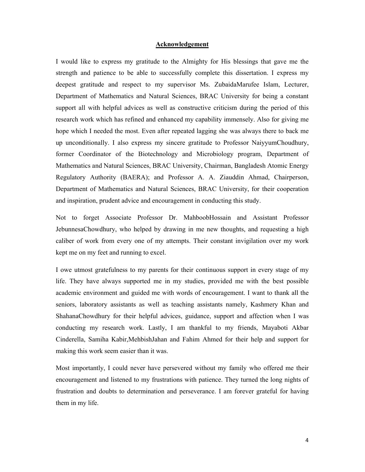#### **Acknowledgement**

I would like to express my gratitude to the Almighty for His blessings that gave me the strength and patience to be able to successfully complete this dissertation. I express my deepest gratitude and respect to my supervisor Ms. ZubaidaMarufee Islam, Lecturer, Department of Mathematics and Natural Sciences, BRAC University for being a constant support all with helpful advices as well as constructive criticism during the period of this research work which has refined and enhanced my capability immensely. Also for giving me hope which I needed the most. Even after repeated lagging she was always there to back me up unconditionally. I also express my sincere gratitude to Professor NaiyyumChoudhury, former Coordinator of the Biotechnology and Microbiology program, Department of Mathematics and Natural Sciences, BRAC University, Chairman, Bangladesh Atomic Energy Regulatory Authority (BAERA); and Professor A. A. Ziauddin Ahmad, Chairperson, Department of Mathematics and Natural Sciences, BRAC University, for their cooperation and inspiration, prudent advice and encouragement in conducting this study.

Not to forget Associate Professor Dr. MahboobHossain and Assistant Professor JebunnesaChowdhury, who helped by drawing in me new thoughts, and requesting a high caliber of work from every one of my attempts. Their constant invigilation over my work kept me on my feet and running to excel.

I owe utmost gratefulness to my parents for their continuous support in every stage of my life. They have always supported me in my studies, provided me with the best possible academic environment and guided me with words of encouragement. I want to thank all the seniors, laboratory assistants as well as teaching assistants namely, Kashmery Khan and ShahanaChowdhury for their helpful advices, guidance, support and affection when I was conducting my research work. Lastly, I am thankful to my friends, Mayaboti Akbar Cinderella, Samiha Kabir,MehbishJahan and Fahim Ahmed for their help and support for making this work seem easier than it was.

Most importantly, I could never have persevered without my family who offered me their encouragement and listened to my frustrations with patience. They turned the long nights of frustration and doubts to determination and perseverance. I am forever grateful for having them in my life.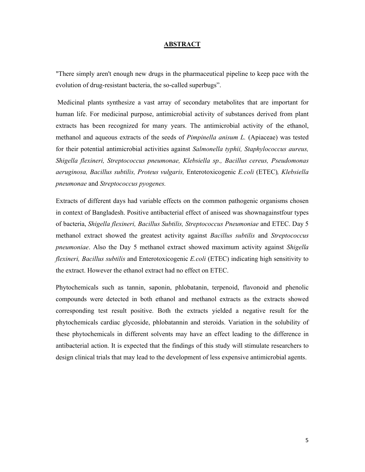#### **ABSTRACT**

"There simply aren't enough new drugs in the pharmaceutical pipeline to keep pace with the evolution of drug-resistant bacteria, the so-called superbugs".

Medicinal plants synthesize a vast array of secondary metabolites that are important for human life. For medicinal purpose, antimicrobial activity of substances derived from plant extracts has been recognized for many years. The antimicrobial activity of the ethanol, methanol and aqueous extracts of the seeds of *Pimpinella anisum L.* (Apiaceae) was tested for their potential antimicrobial activities against *Salmonella typhii, Staphylococcus aureus, Shigella flexineri, Streptococcus pneumonae, Klebsiella sp., Bacillus cereus, Pseudomonas aeruginosa, Bacillus subtilis, Proteus vulgaris,* Enterotoxicogenic *E.coli* (ETEC)*, Klebsiella pneumonae* and *Streptococcus pyogenes.*

Extracts of different days had variable effects on the common pathogenic organisms chosen in context of Bangladesh. Positive antibacterial effect of aniseed was shownagainstfour types of bacteria, *Shigella flexineri, Bacillus Subtilis, Streptococcus Pneumoniae* and ETEC. Day 5 methanol extract showed the greatest activity against *Bacillus subtilis* and *Streptococcus pneumoniae*. Also the Day 5 methanol extract showed maximum activity against *Shigella flexineri, Bacillus subtilis* and Enterotoxicogenic *E.coli* (ETEC) indicating high sensitivity to the extract. However the ethanol extract had no effect on ETEC.

Phytochemicals such as tannin, saponin, phlobatanin, terpenoid, flavonoid and phenolic compounds were detected in both ethanol and methanol extracts as the extracts showed corresponding test result positive. Both the extracts yielded a negative result for the phytochemicals cardiac glycoside, phlobatannin and steroids. Variation in the solubility of these phytochemicals in different solvents may have an effect leading to the difference in antibacterial action. It is expected that the findings of this study will stimulate researchers to design clinical trials that may lead to the development of less expensive antimicrobial agents.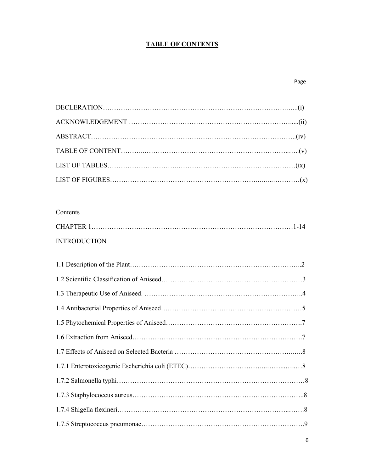#### **TABLE OF CONTENTS**

| Contents            |  |
|---------------------|--|
|                     |  |
| <b>INTRODUCTION</b> |  |
|                     |  |
|                     |  |
|                     |  |
|                     |  |
|                     |  |
|                     |  |
|                     |  |
|                     |  |
|                     |  |
|                     |  |
|                     |  |
|                     |  |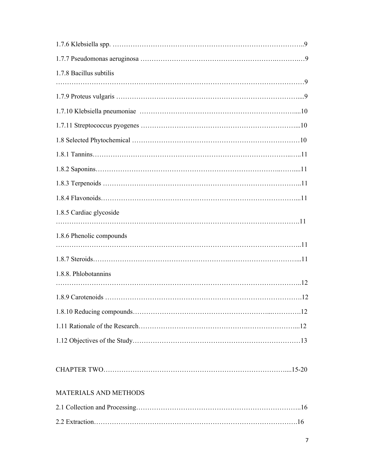| 1.7.8 Bacillus subtilis  |  |
|--------------------------|--|
|                          |  |
|                          |  |
|                          |  |
|                          |  |
|                          |  |
|                          |  |
|                          |  |
|                          |  |
|                          |  |
| 1.8.5 Cardiac glycoside  |  |
|                          |  |
| 1.8.6 Phenolic compounds |  |
|                          |  |
| 1.8.8. Phlobotannins     |  |
|                          |  |
|                          |  |
|                          |  |
|                          |  |
|                          |  |
|                          |  |
|                          |  |
|                          |  |
| MATERIALS AND METHODS    |  |
|                          |  |
|                          |  |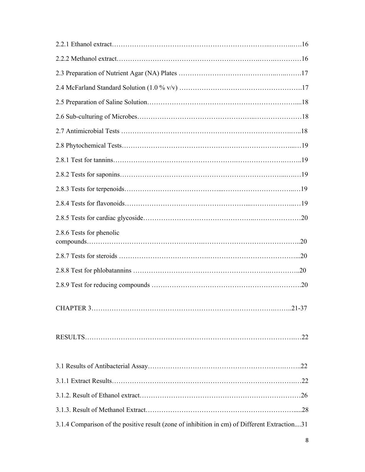| 2.8.6 Tests for phenolic                                                                     |
|----------------------------------------------------------------------------------------------|
|                                                                                              |
|                                                                                              |
|                                                                                              |
|                                                                                              |
|                                                                                              |
|                                                                                              |
|                                                                                              |
|                                                                                              |
|                                                                                              |
| 3.1.4 Comparison of the positive result (zone of inhibition in cm) of Different Extraction31 |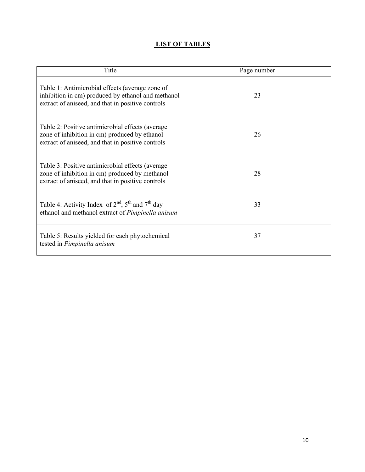#### **LIST OF TABLES**

| Title                                                                                                                                                      | Page number |
|------------------------------------------------------------------------------------------------------------------------------------------------------------|-------------|
| Table 1: Antimicrobial effects (average zone of<br>inhibition in cm) produced by ethanol and methanol<br>extract of aniseed, and that in positive controls | 23          |
| Table 2: Positive antimicrobial effects (average)<br>zone of inhibition in cm) produced by ethanol<br>extract of aniseed, and that in positive controls    | 26          |
| Table 3: Positive antimicrobial effects (average)<br>zone of inhibition in cm) produced by methanol<br>extract of aniseed, and that in positive controls   | 28          |
| Table 4: Activity Index of $2nd$ , $5th$ and $7th$ day<br>ethanol and methanol extract of Pimpinella anisum                                                | 33          |
| Table 5: Results yielded for each phytochemical<br>tested in Pimpinella anisum                                                                             | 37          |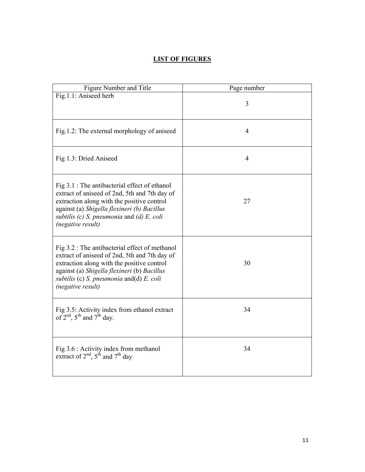#### **LIST OF FIGURES**

| Figure Number and Title                                                                                                                                                                                                                                           | Page number    |
|-------------------------------------------------------------------------------------------------------------------------------------------------------------------------------------------------------------------------------------------------------------------|----------------|
| Fig.1.1: Aniseed herb                                                                                                                                                                                                                                             | 3              |
| Fig.1.2: The external morphology of aniseed                                                                                                                                                                                                                       | $\overline{4}$ |
| Fig 1.3: Dried Aniseed                                                                                                                                                                                                                                            | $\overline{4}$ |
| Fig 3.1 : The antibacterial effect of ethanol<br>extract of aniseed of 2nd, 5th and 7th day of<br>extraction along with the positive control<br>against (a) Shigella flexineri (b) Bacillus<br>subtilis $(c)$ S. pneumonia and $(d)$ E. coli<br>(negative result) | 27             |
| Fig 3.2 : The antibacterial effect of methanol<br>extract of aniseed of 2nd, 5th and 7th day of<br>extraction along with the positive control<br>against (a) Shigella flexineri (b) Bacillus<br>subtilis (c) S. pneumonia and(d) E. coli<br>(negative result)     | 30             |
| Fig 3.5: Activity index from ethanol extract<br>of $2^{nd}$ , $5^{th}$ and $7^{th}$ day.                                                                                                                                                                          | 34             |
| Fig 3.6 : Activity index from methanol<br>extract of $2nd$ , $5th$ and $7th$ day                                                                                                                                                                                  | 34             |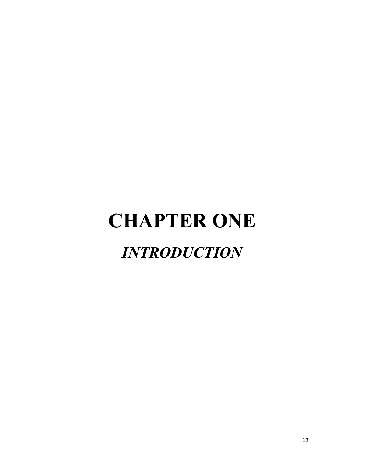## **CHAPTER ONE** *INTRODUCTION*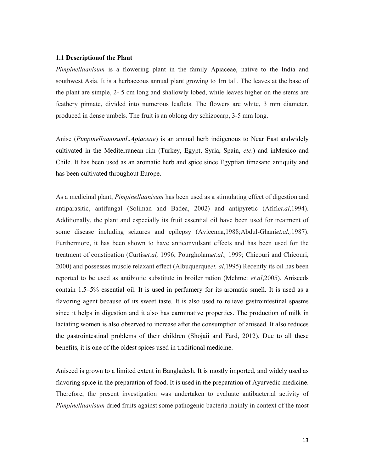#### **1.1 Descriptionof the Plant**

*Pimpinellaanisum* is a flowering plant in the family Apiaceae, native to the India and southwest Asia. It is a herbaceous annual plant growing to 1m tall. The leaves at the base of the plant are simple, 2- 5 cm long and shallowly lobed, while leaves higher on the stems are feathery pinnate, divided into numerous leaflets. The flowers are white, 3 mm diameter, produced in dense umbels. The fruit is an oblong dry schizocarp, 3-5 mm long.

Anise (*PimpinellaanisumL.Apiaceae*) is an annual herb indigenous to Near East andwidely cultivated in the Mediterranean rim (Turkey, Egypt, Syria, Spain, *etc*.) and inMexico and Chile. It has been used as an aromatic herb and spice since Egyptian timesand antiquity and has been cultivated throughout Europe.

As a medicinal plant, *Pimpinellaanisum* has been used as a stimulating effect of digestion and antiparasitic, antifungal (Soliman and Badea, 2002) and antipyretic (Afifi*et.al*,1994). Additionally, the plant and especially its fruit essential oil have been used for treatment of some disease including seizures and epilepsy (Avicenna,1988;Abdul-Ghani*et.al.,*1987). Furthermore, it has been shown to have anticonvulsant effects and has been used for the treatment of constipation (Curtis*et.al,* 1996; Pourgholam*et.al.,* 1999; Chicouri and Chicouri, 2000) and possesses muscle relaxant effect (Albuquerque*et. al*,1995).Recently its oil has been reported to be used as antibiotic substitute in broiler ration (Mehmet *et.al*,2005). Aniseeds contain 1.5–5% essential oil. It is used in perfumery for its aromatic smell. It is used as a flavoring agent because of its sweet taste. It is also used to relieve gastrointestinal spasms since it helps in digestion and it also has carminative properties. The production of milk in lactating women is also observed to increase after the consumption of aniseed. It also reduces the gastrointestinal problems of their children (Shojaii and Fard, 2012). Due to all these benefits, it is one of the oldest spices used in traditional medicine.

Aniseed is grown to a limited extent in Bangladesh. It is mostly imported, and widely used as flavoring spice in the preparation of food. It is used in the preparation of Ayurvedic medicine. Therefore, the present investigation was undertaken to evaluate antibacterial activity of *Pimpinellaanisum* dried fruits against some pathogenic bacteria mainly in context of the most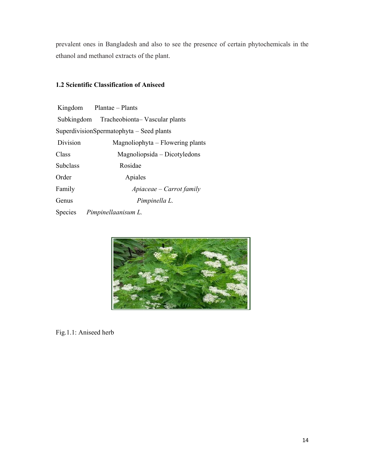prevalent ones in Bangladesh and also to see the presence of certain phytochemicals in the ethanol and methanol extracts of the plant. in extracts of the plant.<br>
extracts of the plant.<br> **cation of Aniseed**<br>
- Plants<br>
ecobionta– Vascular plants

#### **1.2 Scientific Classification of Aniseed**

|          | Kingdom Plantae – Plants                 |
|----------|------------------------------------------|
|          | Subkingdom Tracheobionta-Vascular plants |
|          | SuperdivisionSpermatophyta – Seed plants |
| Division | Magnoliophyta – Flowering plants         |
| Class    | Magnoliopsida – Dicotyledons             |
| Subclass | Rosidae                                  |
| Order    | Apiales                                  |
| Family   | $A$ piaceae – Carrot family              |
| Genus    | Pimpinella L.                            |
| Species  | Pimpinellaanisum L.                      |



Fig.1.1: Aniseed herb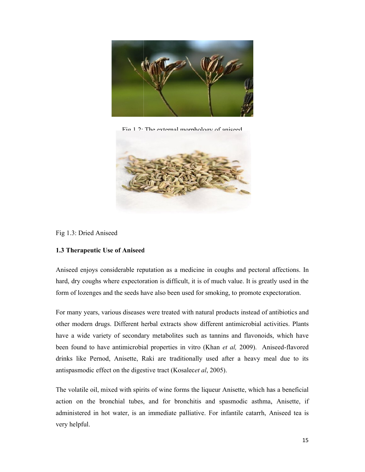

 $\overline{\text{Fic}}$  1.2: The external mornhology of aniseed



Fig 1.3: Dried Aniseed

#### **1.3 Therapeutic Use of Aniseed**

Aniseed enjoys considerable reputation as a medicine in coughs and pectoral affections. In hard, dry coughs where expectoration is difficult, it is of much value. It is greatly used in the form of lozenges and the seeds have also been used for smoking, to promote expectoration.

For many years, various diseases were treated with natural products instead of antibiotics and other modern drugs. Different herbal extracts show different antimicrobial activities. Plants have a wide variety of secondary metabolites such as tannins and flavonoids, which have been found to have antimicrobial properties in vitro *(Khan et al, 2009)*. Anise drinks like Pernod, Anisette, Raki are traditionally used after a heavy meal due to its antispasmodic effect on the digestive tract (Kosalec*et al*, 2005). antispasmodic effect on the digestive tract (Kosalecet al, 2005). of antibiotics and Different herbal extracts show different antimicrobial activities. Plants of secondary metabolites such as tannins and flavonoids, which have l, dry coughs where expectoration is difficult, it is of much value. It is greatly used in the nof lozenges and the seeds have also been used for smoking, to promote expectoration.<br>
many years, various diseases were treat

The volatile oil, mixed with spirits of wine forms the liqueur Anisette, which has a beneficial action on the bronchial tubes, and for bronchitis and spasmodic asthma, Anisette, if The volatile oil, mixed with spirits of wine forms the liqueur Anisette, which has a beneficial action on the bronchial tubes, and for bronchitis and spasmodic asthma, Anisette, if administered in hot water, is an immediat very helpful. Is like Pernod, Anisette, Raki are traditionally used after a heavy meal due to its<br>pasmodic effect on the digestive tract (Kosalecet al, 2005).<br>volatile oil, mixed with spirits of wine forms the liqueur Anisette, which ha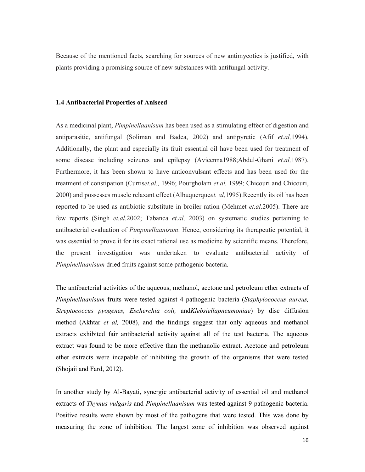Because of the mentioned facts, searching for sources of new antimycotics is justified, with plants providing a promising source of new substances with antifungal activity.

#### **1.4 Antibacterial Properties of Aniseed**

As a medicinal plant, *Pimpinellaanisum* has been used as a stimulating effect of digestion and antiparasitic, antifungal (Soliman and Badea, 2002) and antipyretic (Afif *et.al,*1994). Additionally, the plant and especially its fruit essential oil have been used for treatment of some disease including seizures and epilepsy (Avicenna1988;Abdul-Ghani *et.al,*1987). Furthermore, it has been shown to have anticonvulsant effects and has been used for the treatment of constipation (Curtis*et.al.,* 1996; Pourgholam *et.al,* 1999; Chicouri and Chicouri, 2000) and possesses muscle relaxant effect (Albuquerque*et. al,*1995).Recently its oil has been reported to be used as antibiotic substitute in broiler ration (Mehmet *et.al,*2005). There are few reports (Singh *et.al.*2002; Tabanca *et.al,* 2003) on systematic studies pertaining to antibacterial evaluation of *Pimpinellaanisum*. Hence, considering its therapeutic potential, it was essential to prove it for its exact rational use as medicine by scientific means. Therefore, the present investigation was undertaken to evaluate antibacterial activity of *Pimpinellaanisum* dried fruits against some pathogenic bacteria.

The antibacterial activities of the aqueous, methanol, acetone and petroleum ether extracts of *Pimpinellaanisum* fruits were tested against 4 pathogenic bacteria (*Staphylococcus aureus, Streptococcus pyogenes, Escherchia coli,* and*Klebsiellapneumoniae*) by disc diffusion method (Akhtar *et al,* 2008), and the findings suggest that only aqueous and methanol extracts exhibited fair antibacterial activity against all of the test bacteria. The aqueous extract was found to be more effective than the methanolic extract. Acetone and petroleum ether extracts were incapable of inhibiting the growth of the organisms that were tested (Shojaii and Fard, 2012).

In another study by Al-Bayati, synergic antibacterial activity of essential oil and methanol extracts of *Thymus vulgaris* and *Pimpinellaanisum* was tested against 9 pathogenic bacteria. Positive results were shown by most of the pathogens that were tested. This was done by measuring the zone of inhibition. The largest zone of inhibition was observed against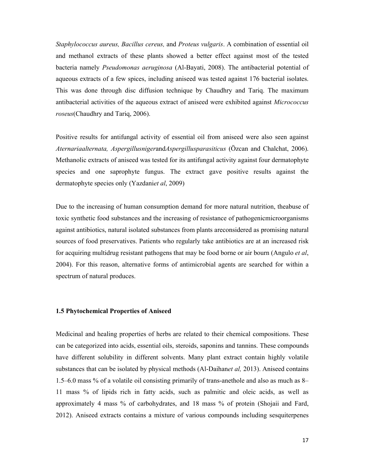*Staphylococcus aureus, Bacillus cereus,* and *Proteus vulgaris*. A combination of essential oil and methanol extracts of these plants showed a better effect against most of the tested bacteria namely *Pseudomonas aeruginosa* (Al-Bayati, 2008). The antibacterial potential of aqueous extracts of a few spices, including aniseed was tested against 176 bacterial isolates. This was done through disc diffusion technique by Chaudhry and Tariq. The maximum antibacterial activities of the aqueous extract of aniseed were exhibited against *Micrococcus roseus*(Chaudhry and Tariq, 2006).

Positive results for antifungal activity of essential oil from aniseed were also seen against *Aternariaalternata, Aspergillusniger*and*Aspergillusparasiticus* (Özcan and Chalchat, 2006). Methanolic extracts of aniseed was tested for its antifungal activity against four dermatophyte species and one saprophyte fungus. The extract gave positive results against the dermatophyte species only (Yazdani*et al*, 2009)

Due to the increasing of human consumption demand for more natural nutrition, theabuse of toxic synthetic food substances and the increasing of resistance of pathogenicmicroorganisms against antibiotics, natural isolated substances from plants areconsidered as promising natural sources of food preservatives. Patients who regularly take antibiotics are at an increased risk for acquiring multidrug resistant pathogens that may be food borne or air bourn (Angulo *et al*, 2004). For this reason, alternative forms of antimicrobial agents are searched for within a spectrum of natural produces.

#### **1.5 Phytochemical Properties of Aniseed**

Medicinal and healing properties of herbs are related to their chemical compositions. These can be categorized into acids, essential oils, steroids, saponins and tannins. These compounds have different solubility in different solvents. Many plant extract contain highly volatile substances that can be isolated by physical methods (Al-Daihan*et al,* 2013). Aniseed contains 1.5–6.0 mass % of a volatile oil consisting primarily of trans-anethole and also as much as 8– 11 mass % of lipids rich in fatty acids, such as palmitic and oleic acids, as well as approximately 4 mass % of carbohydrates, and 18 mass % of protein (Shojaii and Fard, 2012). Aniseed extracts contains a mixture of various compounds including sesquiterpenes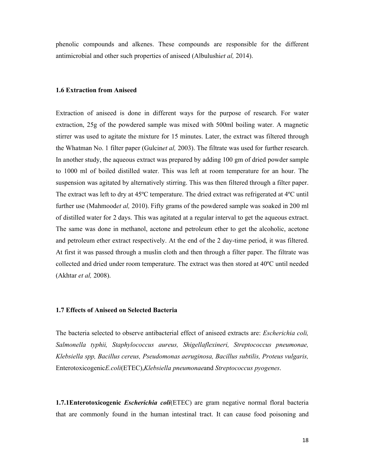phenolic compounds and alkenes. These compounds are responsible for the different antimicrobial and other such properties of aniseed (Albulushi*et al,* 2014).

#### **1.6 Extraction from Aniseed**

Extraction of aniseed is done in different ways for the purpose of research. For water extraction, 25g of the powdered sample was mixed with 500ml boiling water. A magnetic stirrer was used to agitate the mixture for 15 minutes. Later, the extract was filtered through the Whatman No. 1 filter paper (Gulcin*et al,* 2003). The filtrate was used for further research. In another study, the aqueous extract was prepared by adding 100 gm of dried powder sample to 1000 ml of boiled distilled water. This was left at room temperature for an hour. The suspension was agitated by alternatively stirring. This was then filtered through a filter paper. The extract was left to dry at 45ºC temperature. The dried extract was refrigerated at 4ºC until further use (Mahmood*et al,* 2010). Fifty grams of the powdered sample was soaked in 200 ml of distilled water for 2 days. This was agitated at a regular interval to get the aqueous extract. The same was done in methanol, acetone and petroleum ether to get the alcoholic, acetone and petroleum ether extract respectively. At the end of the 2 day-time period, it was filtered. At first it was passed through a muslin cloth and then through a filter paper. The filtrate was collected and dried under room temperature. The extract was then stored at 40ºC until needed (Akhtar *et al,* 2008).

#### **1.7 Effects of Aniseed on Selected Bacteria**

The bacteria selected to observe antibacterial effect of aniseed extracts are: *Escherichia coli, Salmonella typhii, Staphylococcus aureus, Shigellaflexineri, Streptococcus pneumonae, Klebsiella spp, Bacillus cereus, Pseudomonas aeruginosa, Bacillus subtilis, Proteus vulgaris,*  Enterotoxicogenic*E.coli*(ETEC),*Klebsiella pneumonae*and *Streptococcus pyogenes*.

**1.7.1Enterotoxicogenic** *Escherichia coli*(ETEC) are gram negative normal floral bacteria that are commonly found in the human intestinal tract. It can cause food poisoning and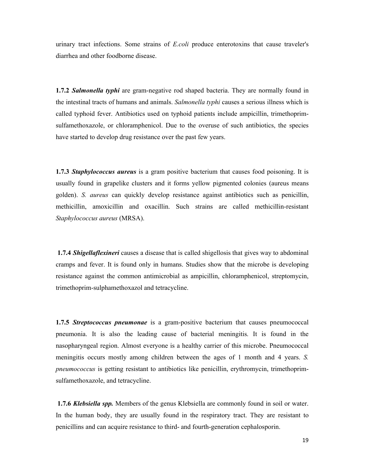urinary tract infections. Some strains of *E.coli* produce enterotoxins that cause traveler's diarrhea and other foodborne disease.

**1.7.2** *Salmonella typhi* are gram-negative rod shaped bacteria. They are normally found in the intestinal tracts of humans and animals. *Salmonella typhi* causes a serious illness which is called typhoid fever. Antibiotics used on typhoid patients include ampicillin, trimethoprimsulfamethoxazole, or chloramphenicol. Due to the overuse of such antibiotics, the species have started to develop drug resistance over the past few years.

**1.7.3** *Staphylococcus aureus* is a gram positive bacterium that causes food poisoning. It is usually found in grapelike clusters and it forms yellow pigmented colonies (aureus means golden). *S. aureus* can quickly develop resistance against antibiotics such as penicillin, methicillin, amoxicillin and oxacillin. Such strains are called methicillin-resistant *Staphylococcus aureus* (MRSA).

**1.7.4** *Shigellaflexineri* causes a disease that is called shigellosis that gives way to abdominal cramps and fever. It is found only in humans. Studies show that the microbe is developing resistance against the common antimicrobial as ampicillin, chloramphenicol, streptomycin, trimethoprim-sulphamethoxazol and tetracycline.

**1.7.5** *Streptococcus pneumonae* is a gram-positive bacterium that causes pneumococcal pneumonia. It is also the leading cause of bacterial meningitis. It is found in the nasopharyngeal region. Almost everyone is a healthy carrier of this microbe. Pneumococcal meningitis occurs mostly among children between the ages of 1 month and 4 years. *S. pneumococcus* is getting resistant to antibiotics like penicillin, erythromycin, trimethoprimsulfamethoxazole, and tetracycline.

**1.7.6** *Klebsiella spp.* Members of the genus Klebsiella are commonly found in soil or water. In the human body, they are usually found in the respiratory tract. They are resistant to penicillins and can acquire resistance to third- and fourth-generation cephalosporin.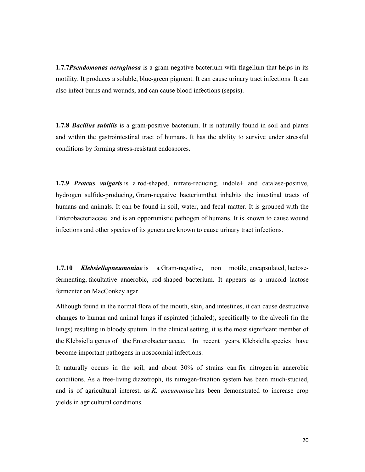**1.7.7***Pseudomonas aeruginosa* is a gram-negative bacterium with flagellum that helps in its motility. It produces a soluble, blue-green pigment. It can cause urinary tract infections. It can also infect burns and wounds, and can cause blood infections (sepsis).

**1.7.8** *Bacillus subtilis* is a gram-positive bacterium. It is naturally found in soil and plants and within the gastrointestinal tract of humans. It has the ability to survive under stressful conditions by forming stress-resistant endospores.

**1.7.9** *Proteus vulgaris* is a rod-shaped, nitrate-reducing, indole+ and catalase-positive, hydrogen sulfide-producing, Gram-negative bacteriumthat inhabits the intestinal tracts of humans and animals. It can be found in soil, water, and fecal matter. It is grouped with the Enterobacteriaceae and is an opportunistic pathogen of humans. It is known to cause wound infections and other species of its genera are known to cause urinary tract infections.

**1.7.10** *Klebsiellapneumoniae* is a Gram-negative, non motile, encapsulated, lactosefermenting, facultative anaerobic, rod-shaped bacterium. It appears as a mucoid lactose fermenter on MacConkey agar.

Although found in the normal flora of the mouth, skin, and intestines, it can cause destructive changes to human and animal lungs if aspirated (inhaled), specifically to the alveoli (in the lungs) resulting in bloody sputum. In the clinical setting, it is the most significant member of the Klebsiella genus of the Enterobacteriaceae. In recent years, Klebsiella species have become important pathogens in nosocomial infections.

It naturally occurs in the soil, and about 30% of strains can fix nitrogen in anaerobic conditions. As a free-living diazotroph, its nitrogen-fixation system has been much-studied, and is of agricultural interest, as *K. pneumoniae* has been demonstrated to increase crop yields in agricultural conditions.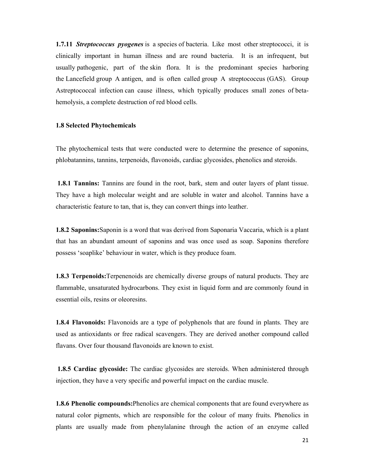**1.7.11** *Streptococcus pyogenes* is a species of bacteria. Like most other streptococci, it is clinically important in human illness and are round bacteria. It is an infrequent, but usually pathogenic, part of the skin flora. It is the predominant species harboring the Lancefield group A antigen, and is often called group A streptococcus (GAS). Group Astreptococcal infection can cause illness, which typically produces small zones of betahemolysis, a complete destruction of red blood cells.

#### **1.8 Selected Phytochemicals**

The phytochemical tests that were conducted were to determine the presence of saponins, phlobatannins, tannins, terpenoids, flavonoids, cardiac glycosides, phenolics and steroids.

**1.8.1 Tannins:** Tannins are found in the root, bark, stem and outer layers of plant tissue. They have a high molecular weight and are soluble in water and alcohol. Tannins have a characteristic feature to tan, that is, they can convert things into leather.

**1.8.2 Saponins:**Saponin is a word that was derived from Saponaria Vaccaria, which is a plant that has an abundant amount of saponins and was once used as soap. Saponins therefore possess 'soaplike' behaviour in water, which is they produce foam.

**1.8.3 Terpenoids:**Terpenenoids are chemically diverse groups of natural products. They are flammable, unsaturated hydrocarbons. They exist in liquid form and are commonly found in essential oils, resins or oleoresins.

**1.8.4 Flavonoids:** Flavonoids are a type of polyphenols that are found in plants. They are used as antioxidants or free radical scavengers. They are derived another compound called flavans. Over four thousand flavonoids are known to exist.

**1.8.5 Cardiac glycoside:** The cardiac glycosides are steroids. When administered through injection, they have a very specific and powerful impact on the cardiac muscle.

**1.8.6 Phenolic compounds:**Phenolics are chemical components that are found everywhere as natural color pigments, which are responsible for the colour of many fruits. Phenolics in plants are usually made from phenylalanine through the action of an enzyme called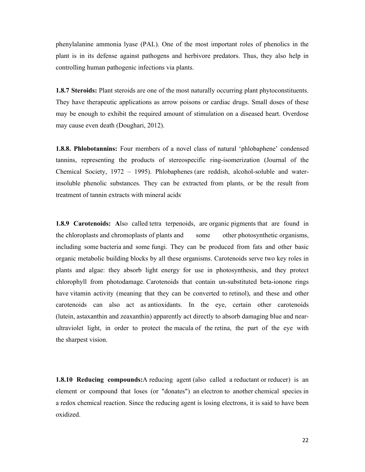phenylalanine ammonia lyase (PAL). One of the most important roles of phenolics in the plant is in its defense against pathogens and herbivore predators. Thus, they also help in controlling human pathogenic infections via plants.

**1.8.7 Steroids:** Plant steroids are one of the most naturally occurring plant phytoconstituents. They have therapeutic applications as arrow poisons or cardiac drugs. Small doses of these may be enough to exhibit the required amount of stimulation on a diseased heart. Overdose may cause even death (Doughari, 2012).

**1.8.8. Phlobotannins:** Four members of a novel class of natural 'phlobaphene' condensed tannins, representing the products of stereospecific ring-isomerization (Journal of the Chemical Society, 1972 – 1995). Phlobaphenes (are reddish, alcohol-soluble and waterinsoluble phenolic substances. They can be extracted from plants, or be the result from treatment of tannin extracts with mineral acids.

**1.8.9 Carotenoids:** Also called tetra terpenoids, are organic pigments that are found in the chloroplasts and chromoplasts of plants and some other photosynthetic organisms, including some bacteria and some fungi. They can be produced from fats and other basic organic metabolic building blocks by all these organisms. Carotenoids serve two key roles in plants and algae: they absorb light energy for use in photosynthesis, and they protect chlorophyll from photodamage. Carotenoids that contain un-substituted beta-ionone rings have vitamin activity (meaning that they can be converted to retinol), and these and other carotenoids can also act as antioxidants. In the eye, certain other carotenoids (lutein, astaxanthin and zeaxanthin) apparently act directly to absorb damaging blue and nearultraviolet light, in order to protect the macula of the retina, the part of the eye with the sharpest vision.

**1.8.10 Reducing compounds:**A reducing agent (also called a reductant or reducer) is an element or compound that loses (or "donates") an electron to another chemical species in a redox chemical reaction. Since the reducing agent is losing electrons, it is said to have been oxidized.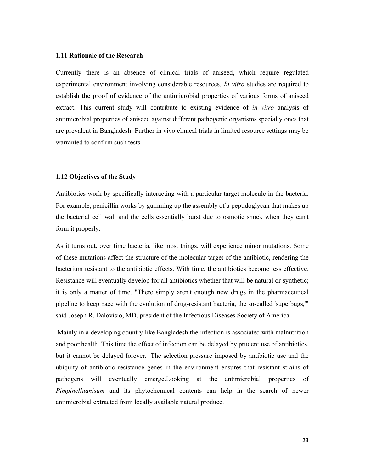#### **1.11 Rationale of the Research**

Currently there is an absence of clinical trials of aniseed, which require regulated experimental environment involving considerable resources. *In vitro* studies are required to establish the proof of evidence of the antimicrobial properties of various forms of aniseed extract. This current study will contribute to existing evidence of *in vitro* analysis of antimicrobial properties of aniseed against different pathogenic organisms specially ones that are prevalent in Bangladesh. Further in vivo clinical trials in limited resource settings may be warranted to confirm such tests.

#### **1.12 Objectives of the Study**

Antibiotics work by specifically interacting with a particular target molecule in the bacteria. For example, penicillin works by gumming up the assembly of a peptidoglycan that makes up the bacterial cell wall and the cells essentially burst due to osmotic shock when they can't form it properly.

As it turns out, over time bacteria, like most things, will experience minor mutations. Some of these mutations affect the structure of the molecular target of the antibiotic, rendering the bacterium resistant to the antibiotic effects. With time, the antibiotics become less effective. Resistance will eventually develop for all antibiotics whether that will be natural or synthetic; it is only a matter of time. "There simply aren't enough new drugs in the pharmaceutical pipeline to keep pace with the evolution of drug-resistant bacteria, the so-called 'superbugs,'" said Joseph R. Dalovisio, MD, president of the Infectious Diseases Society of America.

Mainly in a developing country like Bangladesh the infection is associated with malnutrition and poor health. This time the effect of infection can be delayed by prudent use of antibiotics, but it cannot be delayed forever. The selection pressure imposed by antibiotic use and the ubiquity of antibiotic resistance genes in the environment ensures that resistant strains of pathogens will eventually emerge.Looking at the antimicrobial properties of *Pimpinellaanisum* and its phytochemical contents can help in the search of newer antimicrobial extracted from locally available natural produce.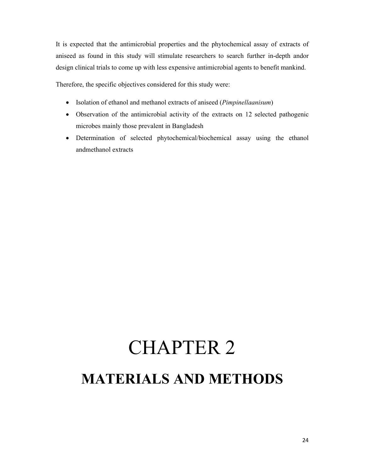It is expected that the antimicrobial properties and the phytochemical assay of extracts of aniseed as found in this study will stimulate researchers to search further in-depth andor design clinical trials to come up with less expensive antimicrobial agents to benefit mankind.

Therefore, the specific objectives considered for this study were:

- Isolation of ethanol and methanol extracts of aniseed (*Pimpinellaanisum*)
- Observation of the antimicrobial activity of the extracts on 12 selected pathogenic microbes mainly those prevalent in Bangladesh
- Determination of selected phytochemical/biochemical assay using the ethanol andmethanol extracts

## CHAPTER 2 **MATERIALS AND METHODS**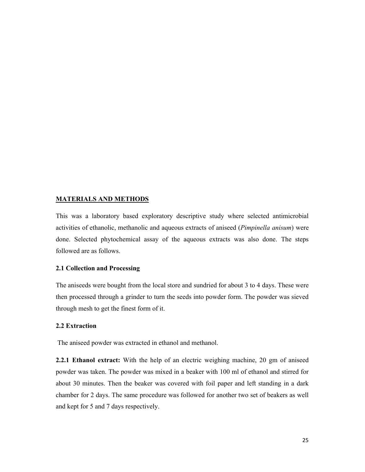#### **MATERIALS AND METHODS**

This was a laboratory based exploratory descriptive study where selected antimicrobial activities of ethanolic, methanolic and aqueous extracts of aniseed (*Pimpinella anisum*) were done. Selected phytochemical assay of the aqueous extracts was also done. The steps followed are as follows.

#### **2.1 Collection and Processing**

The aniseeds were bought from the local store and sundried for about 3 to 4 days. These were then processed through a grinder to turn the seeds into powder form. The powder was sieved through mesh to get the finest form of it.

#### **2.2 Extraction**

The aniseed powder was extracted in ethanol and methanol.

**2.2.1 Ethanol extract:** With the help of an electric weighing machine, 20 gm of aniseed powder was taken. The powder was mixed in a beaker with 100 ml of ethanol and stirred for about 30 minutes. Then the beaker was covered with foil paper and left standing in a dark chamber for 2 days. The same procedure was followed for another two set of beakers as well and kept for 5 and 7 days respectively.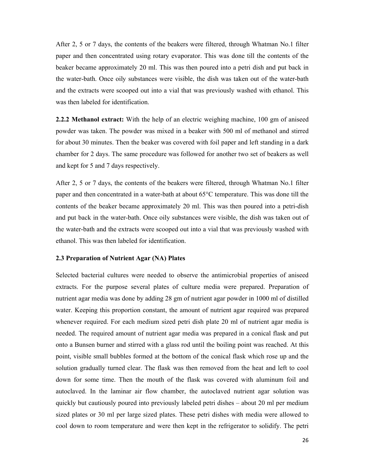After 2, 5 or 7 days, the contents of the beakers were filtered, through Whatman No.1 filter paper and then concentrated using rotary evaporator. This was done till the contents of the beaker became approximately 20 ml. This was then poured into a petri dish and put back in the water-bath. Once oily substances were visible, the dish was taken out of the water-bath and the extracts were scooped out into a vial that was previously washed with ethanol. This was then labeled for identification.

**2.2.2 Methanol extract:** With the help of an electric weighing machine, 100 gm of aniseed powder was taken. The powder was mixed in a beaker with 500 ml of methanol and stirred for about 30 minutes. Then the beaker was covered with foil paper and left standing in a dark chamber for 2 days. The same procedure was followed for another two set of beakers as well and kept for 5 and 7 days respectively.

After 2, 5 or 7 days, the contents of the beakers were filtered, through Whatman No.1 filter paper and then concentrated in a water-bath at about 65°C temperature. This was done till the contents of the beaker became approximately 20 ml. This was then poured into a petri-dish and put back in the water-bath. Once oily substances were visible, the dish was taken out of the water-bath and the extracts were scooped out into a vial that was previously washed with ethanol. This was then labeled for identification.

#### **2.3 Preparation of Nutrient Agar (NA) Plates**

Selected bacterial cultures were needed to observe the antimicrobial properties of aniseed extracts. For the purpose several plates of culture media were prepared. Preparation of nutrient agar media was done by adding 28 gm of nutrient agar powder in 1000 ml of distilled water. Keeping this proportion constant, the amount of nutrient agar required was prepared whenever required. For each medium sized petri dish plate 20 ml of nutrient agar media is needed. The required amount of nutrient agar media was prepared in a conical flask and put onto a Bunsen burner and stirred with a glass rod until the boiling point was reached. At this point, visible small bubbles formed at the bottom of the conical flask which rose up and the solution gradually turned clear. The flask was then removed from the heat and left to cool down for some time. Then the mouth of the flask was covered with aluminum foil and autoclaved. In the laminar air flow chamber, the autoclaved nutrient agar solution was quickly but cautiously poured into previously labeled petri dishes – about 20 ml per medium sized plates or 30 ml per large sized plates. These petri dishes with media were allowed to cool down to room temperature and were then kept in the refrigerator to solidify. The petri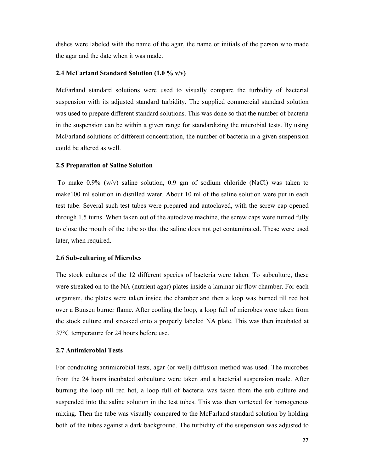dishes were labeled with the name of the agar, the name or initials of the person who made the agar and the date when it was made.

#### **2.4 McFarland Standard Solution (1.0 % v/v)**

McFarland standard solutions were used to visually compare the turbidity of bacterial suspension with its adjusted standard turbidity. The supplied commercial standard solution was used to prepare different standard solutions. This was done so that the number of bacteria in the suspension can be within a given range for standardizing the microbial tests. By using McFarland solutions of different concentration, the number of bacteria in a given suspension could be altered as well.

#### **2.5 Preparation of Saline Solution**

To make 0.9% (w/v) saline solution, 0.9 gm of sodium chloride (NaCl) was taken to make100 ml solution in distilled water. About 10 ml of the saline solution were put in each test tube. Several such test tubes were prepared and autoclaved, with the screw cap opened through 1.5 turns. When taken out of the autoclave machine, the screw caps were turned fully to close the mouth of the tube so that the saline does not get contaminated. These were used later, when required.

#### **2.6 Sub-culturing of Microbes**

The stock cultures of the 12 different species of bacteria were taken. To subculture, these were streaked on to the NA (nutrient agar) plates inside a laminar air flow chamber. For each organism, the plates were taken inside the chamber and then a loop was burned till red hot over a Bunsen burner flame. After cooling the loop, a loop full of microbes were taken from the stock culture and streaked onto a properly labeled NA plate. This was then incubated at 37°C temperature for 24 hours before use.

#### **2.7 Antimicrobial Tests**

For conducting antimicrobial tests, agar (or well) diffusion method was used. The microbes from the 24 hours incubated subculture were taken and a bacterial suspension made. After burning the loop till red hot, a loop full of bacteria was taken from the sub culture and suspended into the saline solution in the test tubes. This was then vortexed for homogenous mixing. Then the tube was visually compared to the McFarland standard solution by holding both of the tubes against a dark background. The turbidity of the suspension was adjusted to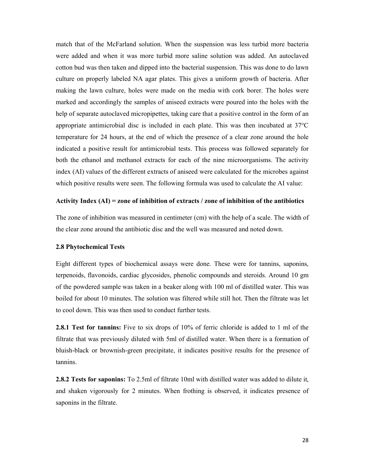match that of the McFarland solution. When the suspension was less turbid more bacteria were added and when it was more turbid more saline solution was added. An autoclaved cotton bud was then taken and dipped into the bacterial suspension. This was done to do lawn culture on properly labeled NA agar plates. This gives a uniform growth of bacteria. After making the lawn culture, holes were made on the media with cork borer. The holes were marked and accordingly the samples of aniseed extracts were poured into the holes with the help of separate autoclaved micropipettes, taking care that a positive control in the form of an appropriate antimicrobial disc is included in each plate. This was then incubated at 37°C temperature for 24 hours, at the end of which the presence of a clear zone around the hole indicated a positive result for antimicrobial tests. This process was followed separately for both the ethanol and methanol extracts for each of the nine microorganisms. The activity index (AI) values of the different extracts of aniseed were calculated for the microbes against which positive results were seen. The following formula was used to calculate the AI value:

#### **Activity Index (AI) = zone of inhibition of extracts / zone of inhibition of the antibiotics**

The zone of inhibition was measured in centimeter (cm) with the help of a scale. The width of the clear zone around the antibiotic disc and the well was measured and noted down.

#### **2.8 Phytochemical Tests**

Eight different types of biochemical assays were done. These were for tannins, saponins, terpenoids, flavonoids, cardiac glycosides, phenolic compounds and steroids. Around 10 gm of the powdered sample was taken in a beaker along with 100 ml of distilled water. This was boiled for about 10 minutes. The solution was filtered while still hot. Then the filtrate was let to cool down. This was then used to conduct further tests.

**2.8.1 Test for tannins:** Five to six drops of 10% of ferric chloride is added to 1 ml of the filtrate that was previously diluted with 5ml of distilled water. When there is a formation of bluish-black or brownish-green precipitate, it indicates positive results for the presence of tannins.

**2.8.2 Tests for saponins:** To 2.5ml of filtrate 10ml with distilled water was added to dilute it, and shaken vigorously for 2 minutes. When frothing is observed, it indicates presence of saponins in the filtrate.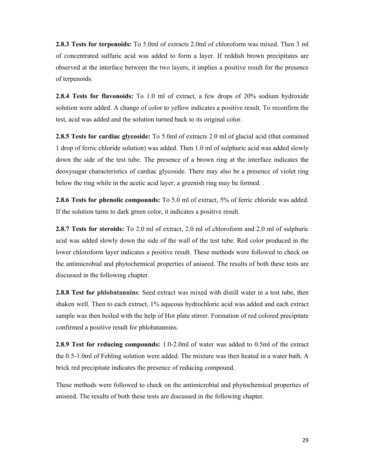**2.8.3 Tests for terpenoids:** To 5.0ml of extracts 2.0ml of chloroform was mixed. Then 3 ml of concentrated sulfuric acid was added to form a layer. If reddish brown precipitates are observed at the interface between the two layers, it implies a positive result for the presence of terpenoids.

**2.8.4 Tests for flavonoids:** To 1.0 ml of extract, a few drops of 20% sodium hydroxide solution were added. A change of color to yellow indicates a positive result. To reconfirm the test, acid was added and the solution turned back to its original color.

**2.8.5 Tests for cardiac glycoside:** To 5.0ml of extracts 2.0 ml of glacial acid (that contained 1 drop of ferric chloride solution) was added. Then 1.0 ml of sulphuric acid was added slowly down the side of the test tube. The presence of a brown ring at the interface indicates the deoxysugar characteristics of cardiac glycoside. There may also be a presence of violet ring below the ring while in the acetic acid layer; a greenish ring may be formed. .

**2.8.6 Tests for phenolic compounds:** To 5.0 ml of extract, 5% of ferric chloride was added. If the solution turns to dark green color, it indicates a positive result.

**2.8.7 Tests for steroids:** To 2.0 ml of extract, 2.0 ml of chloroform and 2.0 ml of sulphuric acid was added slowly down the side of the wall of the test tube. Red color produced in the lower chloroform layer indicates a positive result. These methods were followed to check on the antimicrobial and phytochemical properties of aniseed. The results of both these tests are discussed in the following chapter.

**2.8.8 Test for phlobatannins**: Seed extract was mixed with distill water in a test tube, then shaken well. Then to each extract, 1% aqueous hydrochloric acid was added and each extract sample was then boiled with the help of Hot plate stirrer. Formation of red colored precipitate confirmed a positive result for phlobatannins.

**2.8.9 Test for reducing compounds:** 1.0-2.0ml of water was added to 0.5ml of the extract the 0.5-1.0ml of Fehling solution were added. The mixture was then heated in a water bath. A brick red precipitate indicates the presence of reducing compound.

These methods were followed to check on the antimicrobial and phytochemical properties of aniseed. The results of both these tests are discussed in the following chapter.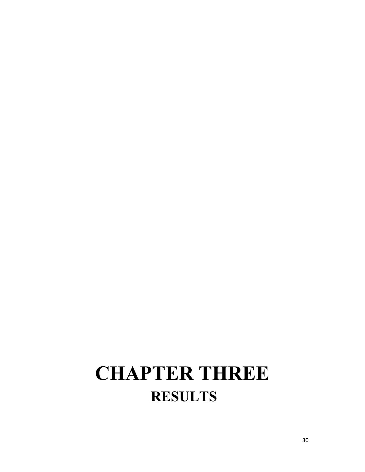### **CHAPTER THREE RESULTS**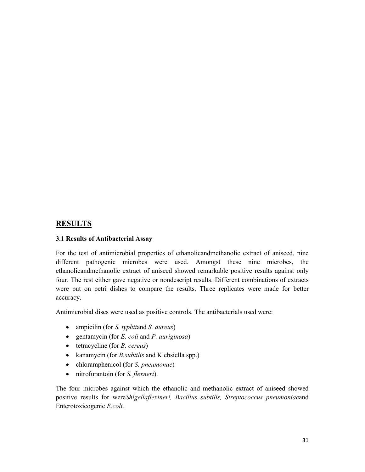#### **RESULTS**

#### **3.1 Results of Antibacterial Assay**

For the test of antimicrobial properties of ethanolicandmethanolic extract of aniseed, nine different pathogenic microbes were used. Amongst these nine microbes, the ethanolicandmethanolic extract of aniseed showed remarkable positive results against only four. The rest either gave negative or nondescript results. Different combinations of extracts were put on petri dishes to compare the results. Three replicates were made for better accuracy.

Antimicrobial discs were used as positive controls. The antibacterials used were:

- ampicilin (for *S. typhii*and *S. aureus*)
- gentamycin (for *E. coli* and *P. auriginosa*)
- tetracycline (for *B. cereus*)
- kanamycin (for *B.subtilis* and Klebsiella spp.)
- chloramphenicol (for *S. pneumonae*)
- nitrofurantoin (for *S. flexneri*).

The four microbes against which the ethanolic and methanolic extract of aniseed showed positive results for were*Shigellaflexineri, Bacillus subtilis, Streptococcus pneumoniae*and Enterotoxicogenic *E.coli.*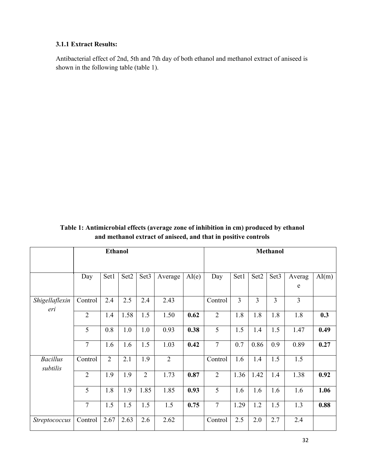#### **3.1.1 Extract Results:**

Antibacterial effect of 2nd, 5th and 7th day of both ethanol and methanol extract of aniseed is shown in the following table (table 1).

**Table 1: Antimicrobial effects (average zone of inhibition in cm) produced by ethanol and methanol extract of aniseed, and that in positive controls**

|                             | <b>Ethanol</b> |                |      |                  |                |       |                |      |      | <b>Methanol</b>  |             |       |
|-----------------------------|----------------|----------------|------|------------------|----------------|-------|----------------|------|------|------------------|-------------|-------|
|                             | Day            | Set1           | Set2 | Set <sub>3</sub> | Average        | AI(e) | Day            | Set1 | Set2 | Set <sub>3</sub> | Averag<br>e | AI(m) |
| Shigellaflexin<br>eri       | Control        | 2.4            | 2.5  | 2.4              | 2.43           |       | Control        | 3    | 3    | 3                | 3           |       |
|                             | $\overline{2}$ | 1.4            | 1.58 | 1.5              | 1.50           | 0.62  | $\overline{2}$ | 1.8  | 1.8  | 1.8              | 1.8         | 0.3   |
|                             | 5              | 0.8            | 1.0  | 1.0              | 0.93           | 0.38  | 5              | 1.5  | 1.4  | 1.5              | 1.47        | 0.49  |
|                             | $\overline{7}$ | 1.6            | 1.6  | 1.5              | 1.03           | 0.42  | $\overline{7}$ | 0.7  | 0.86 | 0.9              | 0.89        | 0.27  |
| <b>Bacillus</b><br>subtilis | Control        | $\overline{2}$ | 2.1  | 1.9              | $\overline{2}$ |       | Control        | 1.6  | 1.4  | 1.5              | 1.5         |       |
|                             | $\overline{2}$ | 1.9            | 1.9  | $\overline{2}$   | 1.73           | 0.87  | $\overline{2}$ | 1.36 | 1.42 | 1.4              | 1.38        | 0.92  |
|                             | 5              | 1.8            | 1.9  | 1.85             | 1.85           | 0.93  | $\overline{5}$ | 1.6  | 1.6  | 1.6              | 1.6         | 1.06  |
|                             | $\tau$         | 1.5            | 1.5  | 1.5              | 1.5            | 0.75  | $\tau$         | 1.29 | 1.2  | 1.5              | 1.3         | 0.88  |
| Streptococcus               | Control        | 2.67           | 2.63 | 2.6              | 2.62           |       | Control        | 2.5  | 2.0  | 2.7              | 2.4         |       |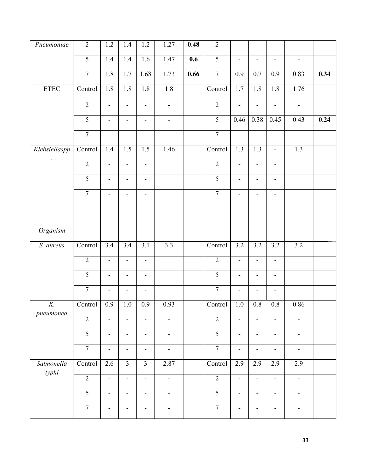| Pneumoniae              | $\overline{2}$              | 1.2                      | 1.4                          | $1.2\,$                      | 1.27                         | 0.48 | $\overline{2}$ | $\qquad \qquad \blacksquare$ | -                        | $\overline{\phantom{0}}$ | $\blacksquare$               |      |
|-------------------------|-----------------------------|--------------------------|------------------------------|------------------------------|------------------------------|------|----------------|------------------------------|--------------------------|--------------------------|------------------------------|------|
|                         | $\overline{5}$              | 1.4                      | 1.4                          | 1.6                          | 1.47                         | 0.6  | $\overline{5}$ | $\blacksquare$               | $\blacksquare$           | $\frac{1}{2}$            | $\blacksquare$               |      |
|                         | $\overline{7}$              | 1.8                      | $\overline{1.7}$             | 1.68                         | 1.73                         | 0.66 | $\overline{7}$ | 0.9                          | 0.7                      | 0.9                      | 0.83                         | 0.34 |
| ETEC                    | Control                     | 1.8                      | 1.8                          | $1.8$                        | 1.8                          |      | Control        | 1.7                          | 1.8                      | 1.8                      | 1.76                         |      |
|                         | $\overline{2}$              | $\blacksquare$           | $\blacksquare$               | $\blacksquare$               | $\blacksquare$               |      | $\overline{2}$ | $\overline{\phantom{a}}$     | $\blacksquare$           | $\blacksquare$           | $\blacksquare$               |      |
|                         | $\overline{5}$              | $\blacksquare$           | $\blacksquare$               | $\blacksquare$               | $\blacksquare$               |      | $\overline{5}$ | 0.46                         | 0.38                     | 0.45                     | 0.43                         | 0.24 |
|                         | $\overline{7}$              | $\blacksquare$           | $\overline{\phantom{0}}$     | $\blacksquare$               | $\overline{\phantom{a}}$     |      | $\overline{7}$ | L,                           | $\blacksquare$           | $\blacksquare$           | $\blacksquare$               |      |
| Klebsiellaspp           | Control                     | $1.4$                    | 1.5                          | 1.5                          | 1.46                         |      | Control        | 1.3                          | 1.3                      | $\blacksquare$           | 1.3                          |      |
| $\bullet$               | $\overline{2}$              | $\overline{\phantom{a}}$ |                              | $\overline{\phantom{a}}$     |                              |      | $\overline{2}$ | $\qquad \qquad \blacksquare$ | $\overline{\phantom{a}}$ |                          |                              |      |
|                         | $\overline{5}$              | $\blacksquare$           | $\overline{\phantom{0}}$     | $\blacksquare$               |                              |      | $\overline{5}$ | $\overline{\phantom{0}}$     | $\overline{\phantom{a}}$ | $\overline{\phantom{0}}$ |                              |      |
|                         | $\overline{7}$              | $\blacksquare$           |                              | $\frac{1}{2}$                |                              |      | $\overline{7}$ | $\blacksquare$               | $\blacksquare$           | $\overline{\phantom{0}}$ |                              |      |
|                         |                             |                          |                              |                              |                              |      |                |                              |                          |                          |                              |      |
| Organism                |                             |                          |                              |                              |                              |      |                |                              |                          |                          |                              |      |
| $\overline{S}$ . aureus | Control                     | 3.4                      | $\overline{3.4}$             | $\overline{3.1}$             | $\overline{3.3}$             |      | Control        | 3.2                          | 3.2                      | $\overline{3.2}$         | $\overline{3.2}$             |      |
|                         | $\overline{2}$              | $\frac{1}{2}$            |                              | $\qquad \qquad \blacksquare$ |                              |      | $\overline{2}$ | $\overline{\phantom{0}}$     | $\blacksquare$           | -                        |                              |      |
|                         | $\overline{5}$              | $\overline{\phantom{a}}$ |                              | $\overline{\phantom{a}}$     |                              |      | $\overline{5}$ | $\qquad \qquad \blacksquare$ | $\overline{\phantom{a}}$ | $\overline{\phantom{a}}$ |                              |      |
|                         | $\overline{7}$              | $\blacksquare$           | $\overline{\phantom{0}}$     | $\blacksquare$               |                              |      | $\overline{7}$ | $\qquad \qquad \blacksquare$ | $\overline{\phantom{a}}$ | $\blacksquare$           |                              |      |
| K.<br>pneumonea         | Control                     | 0.9                      | 1.0                          | 0.9                          | 0.93                         |      | Control        | 1.0                          | 0.8                      | 0.8                      | 0.86                         |      |
|                         | $\overline{2}$              | $\overline{\phantom{a}}$ | $\blacksquare$               | $\blacksquare$               | $\blacksquare$               |      | $\overline{2}$ | $\overline{\phantom{a}}$     | $\overline{\phantom{a}}$ | $\blacksquare$           | $\frac{1}{2}$                |      |
|                         | $\overline{5}$              | $\blacksquare$           | $\qquad \qquad \blacksquare$ | $\blacksquare$               | $\blacksquare$               |      | $\overline{5}$ | $\overline{\phantom{a}}$     | $\blacksquare$           | $\overline{\phantom{a}}$ | $\overline{\phantom{a}}$     |      |
|                         | $\overline{7}$              | $\overline{\phantom{a}}$ | $\overline{\phantom{a}}$     | $\blacksquare$               | $\qquad \qquad \blacksquare$ |      | $\overline{7}$ | $\frac{1}{2}$                | $\blacksquare$           | $\blacksquare$           | $\qquad \qquad \blacksquare$ |      |
| Salmonella<br>typhi     | $\overline{\text{Control}}$ | 2.6                      | $\overline{3}$               | $\overline{3}$               | 2.87                         |      | Control        | 2.9                          | 2.9                      | 2.9                      | 2.9                          |      |
|                         | $\overline{2}$              | $\blacksquare$           | $\overline{\phantom{0}}$     | $\blacksquare$               | $\overline{\phantom{a}}$     |      | $\overline{2}$ | $\overline{\phantom{0}}$     | $\frac{1}{2}$            | $\overline{\phantom{0}}$ | $\overline{\phantom{a}}$     |      |
|                         | $\overline{5}$              | $\blacksquare$           | $\blacksquare$               | $\blacksquare$               | $\overline{\phantom{a}}$     |      | $\overline{5}$ | $\frac{1}{2}$                | $\overline{\phantom{a}}$ | $\overline{\phantom{a}}$ | $\overline{\phantom{a}}$     |      |
|                         | $\overline{7}$              | $\overline{\phantom{a}}$ | -                            | $\blacksquare$               | $\qquad \qquad \blacksquare$ |      | $\overline{7}$ | $\qquad \qquad \blacksquare$ | $\overline{\phantom{a}}$ | $\blacksquare$           | $\qquad \qquad \blacksquare$ |      |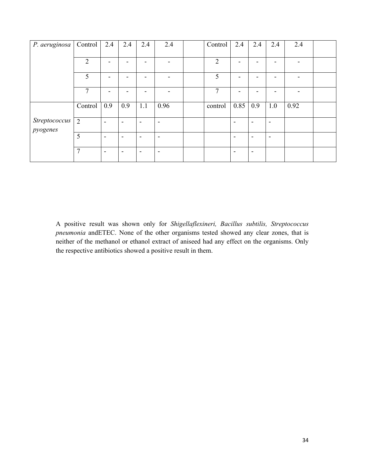| P. aeruginosa | Control        | 2.4                      | 2.4                      | 2.4                      | 2.4                      | Control        | 2.4                      | 2.4                      | 2.4            | 2.4  |  |
|---------------|----------------|--------------------------|--------------------------|--------------------------|--------------------------|----------------|--------------------------|--------------------------|----------------|------|--|
|               |                |                          |                          |                          |                          |                |                          |                          |                |      |  |
|               | 2              |                          |                          |                          |                          | $\overline{2}$ |                          |                          |                |      |  |
|               | 5              |                          |                          |                          |                          | 5              |                          |                          |                |      |  |
|               | 7              |                          |                          |                          |                          | 7              |                          |                          |                |      |  |
|               | Control        | 0.9                      | 0.9                      | 1.1                      | 0.96                     | control        | 0.85                     | 0.9                      | 1.0            | 0.92 |  |
| Streptococcus | 2              | $\blacksquare$           | $\overline{\phantom{a}}$ | $\overline{\phantom{a}}$ | $\overline{\phantom{a}}$ |                | $\overline{\phantom{a}}$ | $\overline{\phantom{0}}$ | $\blacksquare$ |      |  |
| pyogenes      |                |                          |                          |                          |                          |                |                          |                          |                |      |  |
|               | 5              | $\blacksquare$           | $\overline{\phantom{0}}$ | $\overline{\phantom{0}}$ | $\overline{\phantom{a}}$ |                | $\overline{\phantom{0}}$ | $\overline{\phantom{0}}$ | $\blacksquare$ |      |  |
|               | $\overline{7}$ | $\overline{\phantom{a}}$ | $\overline{\phantom{a}}$ | $\overline{\phantom{a}}$ | $\overline{\phantom{a}}$ |                | $\overline{\phantom{a}}$ | $\overline{\phantom{a}}$ |                |      |  |

A positive result was shown only for *Shigellaflexineri, Bacillus subtilis, Streptococcus pneumonia* andETEC. None of the other organisms tested showed any clear zones, that is neither of the methanol or ethanol extract of aniseed had any effect on the organisms. Only the respective antibiotics showed a positive result in them.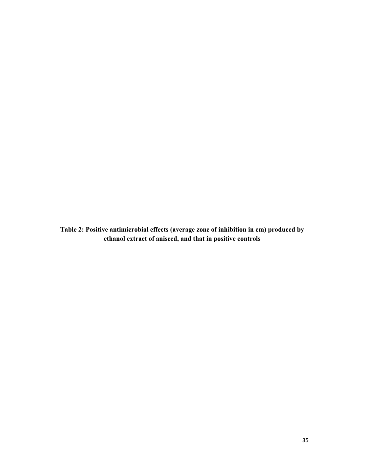**Table 2: Positive antimicrobial effects (average zone of inhibition in cm) produced by ethanol extract of aniseed, and that in positive controls**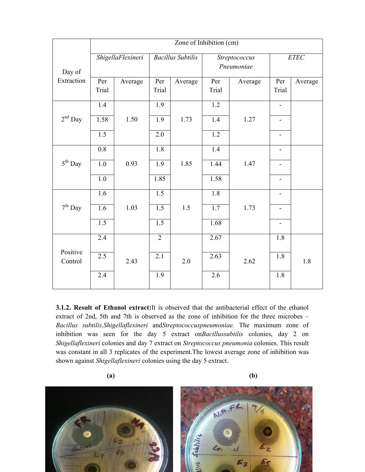|                     | Zone of Inhibition $(cm)$ |         |                          |         |                             |         |                              |         |  |
|---------------------|---------------------------|---------|--------------------------|---------|-----------------------------|---------|------------------------------|---------|--|
| Day of              | ShigellaFlexineri         |         | <b>Bacillus Subtilis</b> |         | Streptococcus<br>Pneumoniae |         | $ETEC$                       |         |  |
| Extraction          | Per<br>Trial              | Average | Per<br>Trial             | Average | Per<br>Trial                | Average | Per<br>Trial                 | Average |  |
|                     | 1.4                       |         | $\overline{1.9}$         |         | $\overline{1.2}$            |         | $\qquad \qquad \blacksquare$ |         |  |
| $2^{\rm nd}$ Day    | 1.58                      | 1.50    | 1.9                      | 1.73    | 1.4                         | 1.27    | $\blacksquare$               |         |  |
|                     | 1.5                       |         | 2.0                      |         | 1.2                         |         |                              |         |  |
|                     | 0.8                       |         | 1.8                      |         | 1.4                         |         | $\overline{\phantom{0}}$     |         |  |
| $5^{\rm th}$ Day    | $1.0\,$                   | 0.93    | 1.9                      | 1.85    | 1.44                        | 1.47    |                              |         |  |
|                     | 1.0                       |         | 1.85                     |         | 1.58                        |         |                              |         |  |
|                     | 1.6                       |         | 1.5                      |         | 1.8                         |         |                              |         |  |
| $7^{\rm th}$ Day    | 1.6                       | 1.03    | 1.5                      | 1.5     | 1.7                         | 1.73    |                              |         |  |
|                     | 1.5                       |         | 1.5                      |         | 1.68                        |         | $\overline{\phantom{0}}$     |         |  |
|                     | 2.4                       |         | $\overline{2}$           |         | 2.67                        |         | 1.8                          |         |  |
| Positive<br>Control | 2.5                       | 2.43    | $\overline{2.1}$         | 2.0     | 2.63                        | 2.62    | 1.8                          | 1.8     |  |
|                     | 2.4                       |         | 1.9                      |         | 2.6                         |         | 1.8                          |         |  |

**3.1.2. Result of Ethanol extract:**It is observed that the antibacterial effect of the ethanol extract of 2nd, 5th and 7th is observed as the zone of inhibition for the three microbes – *Bacillus subtilis,Shigellaflexineri* and*Streptococcuspneumoniae.* The maximum zone of inhibition was seen for the day 5 extract on*Bacillussubtilis* colonies, day 2 on *Shigellaflexineri* colonies and day 7 extract on *Streptococcus pneumonia* colonies. This result was constant in all 3 replicates of the experiment.The lowest average zone of inhibition was shown against *Shigellaflexineri* colonies using the day 5 extract.

**(a) (b)**

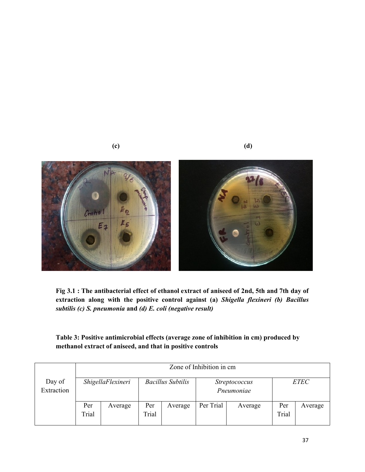

**(c) (d)**

**Fig 3.1 : The antibacterial effect of ethanol extract of aniseed of 2nd, 5th and 7th day of extraction along with the positive control against (a)** *Shigella flexineri (b) Bacillus subtilis (c) S. pneumonia* **and** *(d) E. coli (negative result)*

| Table 3: Positive antimicrobial effects (average zone of inhibition in cm) produced by |
|----------------------------------------------------------------------------------------|
| methanol extract of aniseed, and that in positive controls                             |

|                      | Zone of Inhibition in cm |                   |                          |         |                                    |         |              |         |  |
|----------------------|--------------------------|-------------------|--------------------------|---------|------------------------------------|---------|--------------|---------|--|
| Day of<br>Extraction |                          | ShigellaFlexineri | <b>Bacillus Subtilis</b> |         | <i>Streptococcus</i><br>Pneumoniae |         | <b>ETEC</b>  |         |  |
|                      |                          |                   |                          |         |                                    |         |              |         |  |
|                      | Per<br>Trial             | Average           | Per<br>Trial             | Average | Per Trial                          | Average | Per<br>Trial | Average |  |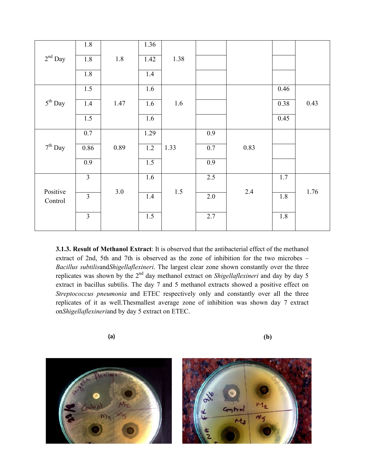|                  | 1.8            |      | 1.36 |         |         |      |      |      |
|------------------|----------------|------|------|---------|---------|------|------|------|
| $2^{\rm nd}$ Day | 1.8            | 1.8  | 1.42 | 1.38    |         |      |      |      |
|                  | 1.8            |      | 1.4  |         |         |      |      |      |
|                  | 1.5            |      | 1.6  |         |         |      | 0.46 |      |
| $5^{th}$ Day     | 1.4            | 1.47 | 1.6  | 1.6     |         |      | 0.38 | 0.43 |
|                  | 1.5            |      | 1.6  |         |         |      | 0.45 |      |
|                  | $0.7\,$        |      | 1.29 |         | 0.9     |      |      |      |
| $7^{\rm th}$ Day | 0.86           | 0.89 | 1.2  | 1.33    | $0.7\,$ | 0.83 |      |      |
|                  | 0.9            |      | 1.5  |         | 0.9     |      |      |      |
|                  | $\overline{3}$ |      | 1.6  |         | 2.5     |      | 1.7  |      |
| Positive         | $\overline{3}$ | 3.0  | 1.4  | $1.5\,$ | 2.0     | 2.4  | 1.8  | 1.76 |
| Control          |                |      |      |         |         |      |      |      |
|                  | $\overline{3}$ |      | 1.5  |         | 2.7     |      | 1.8  |      |

**3.1.3. Result of Methanol Extract**: It is observed that the antibacterial effect of the methanol extract of 2nd, 5th and 7th is observed as the zone of inhibition for the two microbes – *Bacillus subtilis*and*Shigellaflexineri*. The largest clear zone shown constantly over the three replicates was shown by the 2nd day methanol extract on *Shigellaflexineri* and day by day 5 extract in bacillus subtilis. The day 7 and 5 methanol extracts showed a positive effect on *Streptococcus pneumonia* and ETEC respectively only and constantly over all the three replicates of it as well.Thesmallest average zone of inhibition was shown day 7 extract on*Shigellaflexineri*and by day 5 extract on ETEC.

**(a) (b)** 

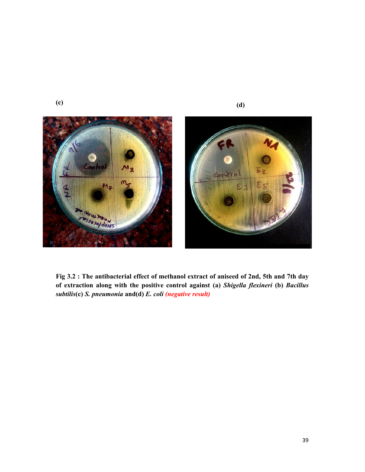

**Fig 3.2 : The antibacterial effect of methanol extract of aniseed of 2nd, 5th and 7th day of extraction along with the positive control against (a)** *Shigella flexineri* **(b)** *Bacillus subtilis***(c)** *S. pneumonia* **and(d)** *E. coli (negative result)*

**(c)**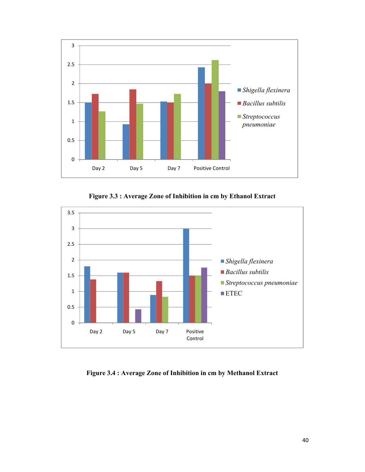

**Figure 3.3 : Average Zone of Inhibition in cm by Ethanol Extract**



**Figure 3.4 : Average Zone of Inhibition in cm by Methanol Extract**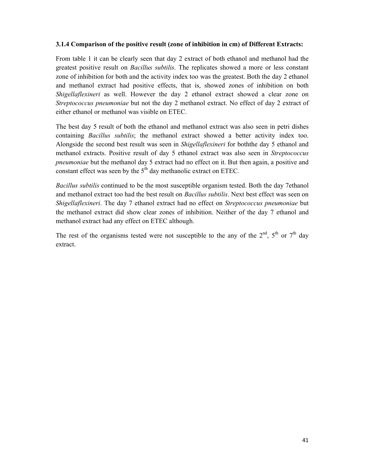#### **3.1.4 Comparison of the positive result (zone of inhibition in cm) of Different Extracts:**

From table 1 it can be clearly seen that day 2 extract of both ethanol and methanol had the greatest positive result on *Bacillus subtilis*. The replicates showed a more or less constant zone of inhibition for both and the activity index too was the greatest. Both the day 2 ethanol and methanol extract had positive effects, that is, showed zones of inhibition on both *Shigellaflexineri* as well. However the day 2 ethanol extract showed a clear zone on *Streptococcus pneumoniae* but not the day 2 methanol extract. No effect of day 2 extract of either ethanol or methanol was visible on ETEC.

The best day 5 result of both the ethanol and methanol extract was also seen in petri dishes containing *Bacillus subtilis*; the methanol extract showed a better activity index too. Alongside the second best result was seen in *Shigellaflexineri* for boththe day 5 ethanol and methanol extracts. Positive result of day 5 ethanol extract was also seen in *Streptococcus pneumoniae* but the methanol day 5 extract had no effect on it. But then again, a positive and constant effect was seen by the  $5<sup>th</sup>$  day methanolic extract on ETEC.

*Bacillus subtilis* continued to be the most susceptible organism tested. Both the day 7ethanol and methanol extract too had the best result on *Bacillus subtilis*. Next best effect was seen on *Shigellaflexineri*. The day 7 ethanol extract had no effect on *Streptococcus pneumoniae* but the methanol extract did show clear zones of inhibition. Neither of the day 7 ethanol and methanol extract had any effect on ETEC although.

The rest of the organisms tested were not susceptible to the any of the  $2<sup>nd</sup>$ ,  $5<sup>th</sup>$  or  $7<sup>th</sup>$  day extract.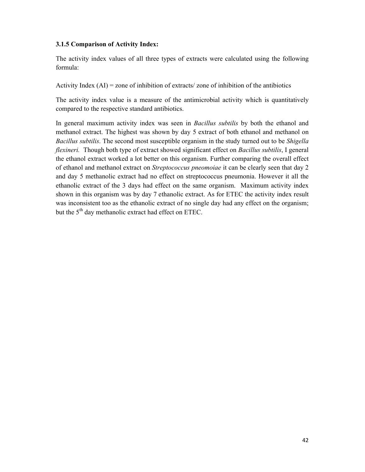#### **3.1.5 Comparison of Activity Index:**

The activity index values of all three types of extracts were calculated using the following formula:

Activity Index  $(AI)$  = zone of inhibition of extracts/ zone of inhibition of the antibiotics

The activity index value is a measure of the antimicrobial activity which is quantitatively compared to the respective standard antibiotics.

In general maximum activity index was seen in *Bacillus subtilis* by both the ethanol and methanol extract. The highest was shown by day 5 extract of both ethanol and methanol on *Bacillus subtilis*. The second most susceptible organism in the study turned out to be *Shigella flexineri.* Though both type of extract showed significant effect on *Bacillus subtilis*, I general the ethanol extract worked a lot better on this organism. Further comparing the overall effect of ethanol and methanol extract on *Streptococcus pneomoiae* it can be clearly seen that day 2 and day 5 methanolic extract had no effect on streptococcus pneumonia. However it all the ethanolic extract of the 3 days had effect on the same organism. Maximum activity index shown in this organism was by day 7 ethanolic extract. As for ETEC the activity index result was inconsistent too as the ethanolic extract of no single day had any effect on the organism; but the  $5<sup>th</sup>$  day methanolic extract had effect on ETEC.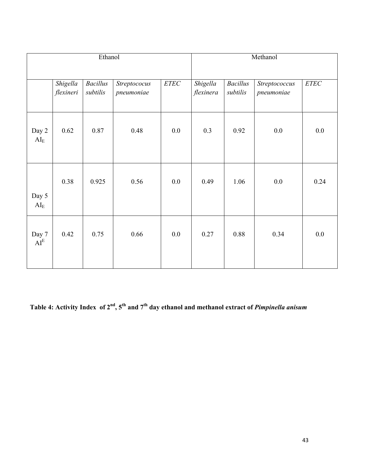| Ethanol                             |                       |                             |                            |      | Methanol              |                             |                             |        |  |
|-------------------------------------|-----------------------|-----------------------------|----------------------------|------|-----------------------|-----------------------------|-----------------------------|--------|--|
|                                     |                       |                             |                            |      |                       |                             |                             |        |  |
|                                     | Shigella<br>flexineri | <b>Bacillus</b><br>subtilis | Streptococus<br>pneumoniae | ETEC | Shigella<br>flexinera | <b>Bacillus</b><br>subtilis | Streptococcus<br>pneumoniae | $ETEC$ |  |
| Day 2<br>$\mathbf{AI}_{\mathrm{E}}$ | 0.62                  | 0.87                        | 0.48                       | 0.0  | 0.3                   | 0.92                        | 0.0                         | 0.0    |  |
| Day 5<br>$\mathbf{AI}_{\mathrm{E}}$ | 0.38                  | 0.925                       | 0.56                       | 0.0  | 0.49                  | 1.06                        | 0.0                         | 0.24   |  |
| Day 7<br>AI <sup>E</sup>            | 0.42                  | 0.75                        | 0.66                       | 0.0  | 0.27                  | 0.88                        | 0.34                        | 0.0    |  |

**Table 4: Activity Index of 2nd, 5th and 7th day ethanol and methanol extract of** *Pimpinella anisum*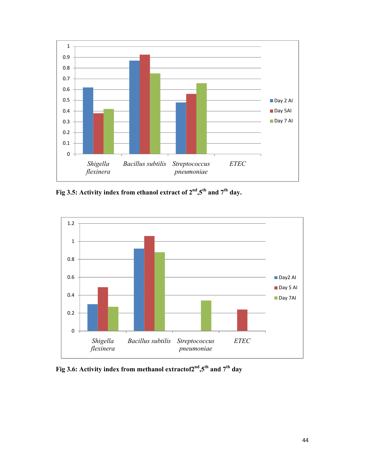

**Fig 3.5: Activity index from ethanol extract of 2nd,5th and 7th day.**



**Fig 3.6: Activity index from methanol extractof2nd,5th and 7th day**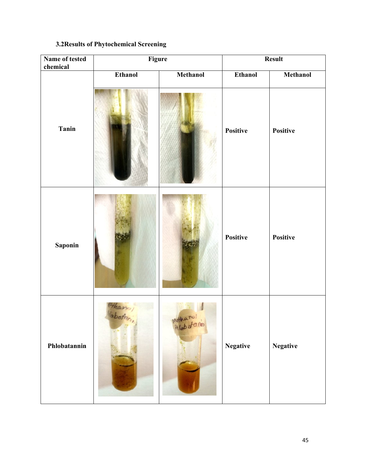#### **3.2Results of Phytochemical Screening**

| Name of tested<br>chemical | Figure         |          | <b>Result</b>   |                 |  |
|----------------------------|----------------|----------|-----------------|-----------------|--|
|                            | <b>Ethanol</b> | Methanol | <b>Ethanol</b>  | Methanol        |  |
| <b>Tanin</b>               |                |          | Positive        | Positive        |  |
| Saponin                    |                |          | <b>Positive</b> | Positive        |  |
| Phlobatannin               |                | Methanol | <b>Negative</b> | <b>Negative</b> |  |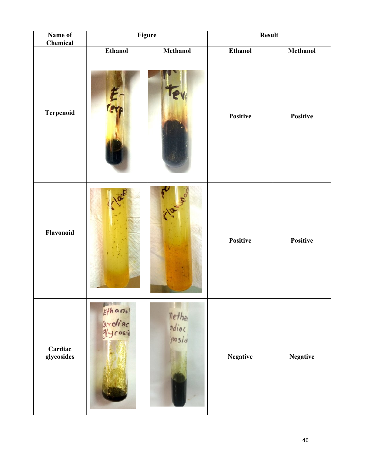| Name of<br>Chemical   |                               | Figure                   | <b>Result</b>   |                 |  |
|-----------------------|-------------------------------|--------------------------|-----------------|-----------------|--|
|                       | <b>Ethanol</b>                | <b>Methanol</b>          | <b>Ethanol</b>  | Methanol        |  |
| Terpenoid             |                               |                          | Positive        | Positive        |  |
| Flavonoid             |                               | Me .                     | Positive        | Positive        |  |
| Cardiac<br>glycosides | Ethanol<br>Ardiac<br>glycosio | methan<br>mdiac<br>yosid | <b>Negative</b> | <b>Negative</b> |  |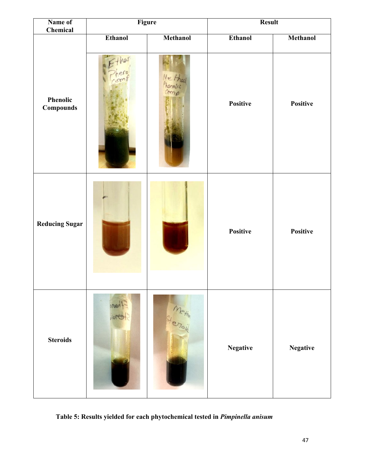| Name of<br>Chemical   | Figure         |                 | <b>Result</b>   |                 |  |
|-----------------------|----------------|-----------------|-----------------|-----------------|--|
|                       | <b>Ethanol</b> | <b>Methanol</b> | <b>Ethanol</b>  | <b>Methanol</b> |  |
| Phenolic<br>Compounds |                |                 | Positive        | Positive        |  |
| <b>Reducing Sugar</b> |                |                 | Positive        | Positive        |  |
| <b>Steroids</b>       | next<br>loree  | Wetter          | <b>Negative</b> | <b>Negative</b> |  |

**Table 5: Results yielded for each phytochemical tested in** *Pimpinella anisum*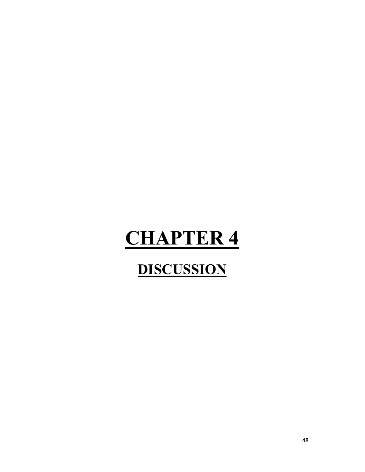## **CHAPTER 4**

### **DISCUSSION**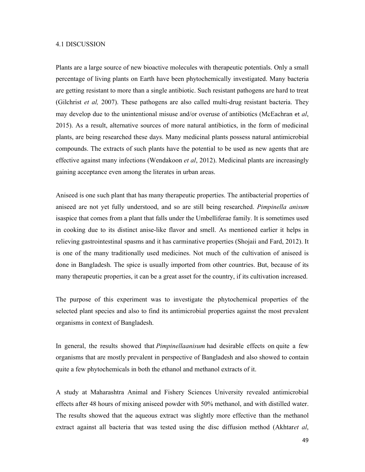#### 4.1 DISCUSSION

Plants are a large source of new bioactive molecules with therapeutic potentials. Only a small percentage of living plants on Earth have been phytochemically investigated. Many bacteria are getting resistant to more than a single antibiotic. Such resistant pathogens are hard to treat (Gilchrist *et al,* 2007). These pathogens are also called multi-drug resistant bacteria. They may develop due to the unintentional misuse and/or overuse of antibiotics (McEachran et *al*, 2015). As a result, alternative sources of more natural antibiotics, in the form of medicinal plants, are being researched these days. Many medicinal plants possess natural antimicrobial compounds. The extracts of such plants have the potential to be used as new agents that are effective against many infections (Wendakoon *et al*, 2012). Medicinal plants are increasingly gaining acceptance even among the literates in urban areas.

Aniseed is one such plant that has many therapeutic properties. The antibacterial properties of aniseed are not yet fully understood, and so are still being researched. *Pimpinella anisum*  isaspice that comes from a plant that falls under the Umbelliferae family. It is sometimes used in cooking due to its distinct anise-like flavor and smell. As mentioned earlier it helps in relieving gastrointestinal spasms and it has carminative properties (Shojaii and Fard, 2012). It is one of the many traditionally used medicines. Not much of the cultivation of aniseed is done in Bangladesh. The spice is usually imported from other countries. But, because of its many therapeutic properties, it can be a great asset for the country, if its cultivation increased.

The purpose of this experiment was to investigate the phytochemical properties of the selected plant species and also to find its antimicrobial properties against the most prevalent organisms in context of Bangladesh.

In general, the results showed that *Pimpinellaanisum* had desirable effects on quite a few organisms that are mostly prevalent in perspective of Bangladesh and also showed to contain quite a few phytochemicals in both the ethanol and methanol extracts of it.

A study at Maharashtra Animal and Fishery Sciences University revealed antimicrobial effects after 48 hours of mixing aniseed powder with 50% methanol, and with distilled water. The results showed that the aqueous extract was slightly more effective than the methanol extract against all bacteria that was tested using the disc diffusion method (Akhtar*et al*,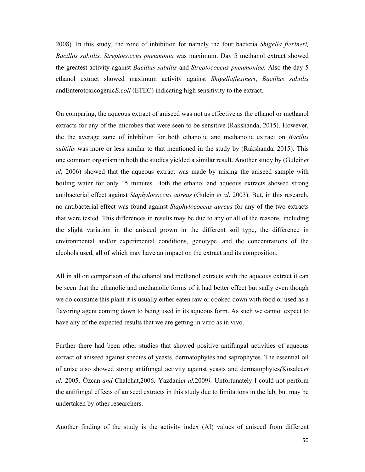2008). In this study, the zone of inhibition for namely the four bacteria *Shigella flexineri, Bacillus subtilis, Streptococcus pneumonia* was maximum. Day 5 methanol extract showed the greatest activity against *Bacillus subtilis* and *Streptococcus pneumoniae*. Also the day 5 ethanol extract showed maximum activity against *Shigellaflexineri*, *Bacillus subtilis*  andEnterotoxicogenic*E.coli* (ETEC) indicating high sensitivity to the extract.

On comparing, the aqueous extract of aniseed was not as effective as the ethanol or methanol extracts for any of the microbes that were seen to be sensitive (Rakshanda, 2015). However, the the average zone of inhibition for both ethanolic and methanolic extract on *Bacilus subtilis* was more or less similar to that mentioned in the study by (Rakshanda, 2015). This one common organism in both the studies yielded a similar result. Another study by (Gulcin*et al*, 2006) showed that the aqueous extract was made by mixing the aniseed sample with boiling water for only 15 minutes. Both the ethanol and aqueous extracts showed strong antibacterial effect against *Staphylococcus aureus* (Gulcin *et al*, 2003). But, in this research, no antibacterial effect was found against *Staphylococcus aureus* for any of the two extracts that were tested. This differences in results may be due to any or all of the reasons, including the slight variation in the aniseed grown in the different soil type, the difference in environmental and/or experimental conditions, genotype, and the concentrations of the alcohols used, all of which may have an impact on the extract and its composition.

All in all on comparison of the ethanol and methanol extracts with the aqueous extract it can be seen that the ethanolic and methanolic forms of it had better effect but sadly even though we do consume this plant it is usually either eaten raw or cooked down with food or used as a flavoring agent coming down to being used in its aqueous form. As such we cannot expect to have any of the expected results that we are getting in vitro as in vivo.

Further there had been other studies that showed positive antifungal activities of aqueous extract of aniseed against species of yeasts, dermatophytes and saprophytes. The essential oil of anise also showed strong antifungal activity against yeasts and dermatophytes*(*Kosalec*et al,* 2005*;* Özcan *and* Chalchat,2006*;* Yazdani*et al,*2009*).* Unfortunately I could not perform the antifungal effects of aniseed extracts in this study due to limitations in the lab, but may be undertaken by other researchers.

Another finding of the study is the activity index (AI) values of aniseed from different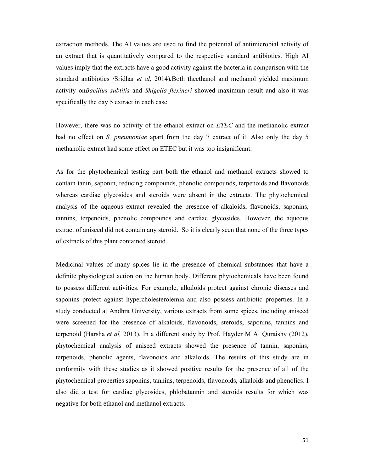extraction methods. The AI values are used to find the potential of antimicrobial activity of an extract that is quantitatively compared to the respective standard antibiotics. High AI values imply that the extracts have a good activity against the bacteria in comparison with the standard antibiotics *(*Sridhar *et al,* 2014)*.*Both theethanol and methanol yielded maximum activity on*Bacillus subtilis* and *Shigella flexineri* showed maximum result and also it was specifically the day 5 extract in each case.

However, there was no activity of the ethanol extract on *ETEC* and the methanolic extract had no effect on *S. pneumoniae* apart from the day 7 extract of it. Also only the day 5 methanolic extract had some effect on ETEC but it was too insignificant.

As for the phytochemical testing part both the ethanol and methanol extracts showed to contain tanin, saponin, reducing compounds, phenolic compounds, terpenoids and flavonoids whereas cardiac glycosides and steroids were absent in the extracts. The phytochemical analysis of the aqueous extract revealed the presence of alkaloids, flavonoids, saponins, tannins, terpenoids, phenolic compounds and cardiac glycosides. However, the aqueous extract of aniseed did not contain any steroid. So it is clearly seen that none of the three types of extracts of this plant contained steroid.

Medicinal values of many spices lie in the presence of chemical substances that have a definite physiological action on the human body. Different phytochemicals have been found to possess different activities. For example, alkaloids protect against chronic diseases and saponins protect against hypercholesterolemia and also possess antibiotic properties. In a study conducted at Andhra University, various extracts from some spices, including aniseed were screened for the presence of alkaloids, flavonoids, steroids, saponins, tannins and terpenoid (Harsha *et al,* 2013). In a different study by Prof. Hayder M Al Quraishy (2012), phytochemical analysis of aniseed extracts showed the presence of tannin, saponins, terpenoids, phenolic agents, flavonoids and alkaloids. The results of this study are in conformity with these studies as it showed positive results for the presence of all of the phytochemical properties saponins, tannins, terpenoids, flavonoids, alkaloids and phenolics. I also did a test for cardiac glycosides, phlobatannin and steroids results for which was negative for both ethanol and methanol extracts.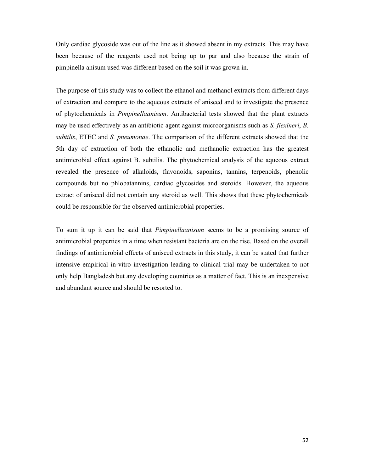Only cardiac glycoside was out of the line as it showed absent in my extracts. This may have been because of the reagents used not being up to par and also because the strain of pimpinella anisum used was different based on the soil it was grown in.

The purpose of this study was to collect the ethanol and methanol extracts from different days of extraction and compare to the aqueous extracts of aniseed and to investigate the presence of phytochemicals in *Pimpinellaanisum*. Antibacterial tests showed that the plant extracts may be used effectively as an antibiotic agent against microorganisms such as *S. flexineri*, *B. subtilis*, ETEC and *S. pneumonae*. The comparison of the different extracts showed that the 5th day of extraction of both the ethanolic and methanolic extraction has the greatest antimicrobial effect against B. subtilis. The phytochemical analysis of the aqueous extract revealed the presence of alkaloids, flavonoids, saponins, tannins, terpenoids, phenolic compounds but no phlobatannins, cardiac glycosides and steroids. However, the aqueous extract of aniseed did not contain any steroid as well. This shows that these phytochemicals could be responsible for the observed antimicrobial properties.

To sum it up it can be said that *Pimpinellaanisum* seems to be a promising source of antimicrobial properties in a time when resistant bacteria are on the rise. Based on the overall findings of antimicrobial effects of aniseed extracts in this study, it can be stated that further intensive empirical in-vitro investigation leading to clinical trial may be undertaken to not only help Bangladesh but any developing countries as a matter of fact. This is an inexpensive and abundant source and should be resorted to.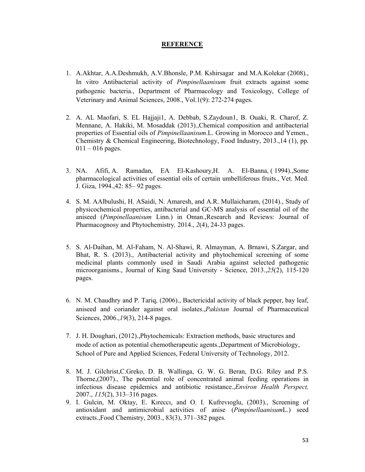#### **REFERENCE**

- 1. A.Akhtar, A.A.Deshmukh, A.V.Bhonsle, P.M. Kshirsagar and M.A.Kolekar (2008)., In vitro Antibacterial activity of *Pimpinellaanisum* fruit extracts against some pathogenic bacteria., Department of Pharmacology and Toxicology, College of Veterinary and Animal Sciences, 2008., Vol.1(9): 272-274 pages.
- 2. A. AL Maofari, S. EL Hajjaji1, A. Debbab, S.Zaydoun1, B. Ouaki, R. Charof, Z. Mennane, A. Hakiki, M. Mosaddak (2013).,Chemical composition and antibacterial properties of Essential oils of *Pimpinellaanisum*.L. Growing in Morocco and Yemen., Chemistry & Chemical Engineering, Biotechnology, Food Industry, 2013.,14 (1), pp.  $011 - 016$  pages.
- 3. NA. Afifi, A. Ramadan, EA El-Kashoury,H. A. El-Banna, ( 1994).,Some pharmacological activities of essential oils of certain umbelliferous fruits., Vet. Med. J. Giza, 1994.,42: 85– 92 pages.
- 4. S. M. AAlbulushi, H. ASaidi, N. Amaresh, and A.R. Mullaicharam, (2014)., Study of physicochemical properties, antibacterial and GC-MS analysis of essential oil of the aniseed (*Pimpinellaanisum* Linn.) in Oman.,Research and Reviews: Journal of Pharmacognosy and Phytochemistry*,* 2014., *2*(4), 24-33 pages.
- 5. S. Al-Daihan, M. Al-Faham, N. Al-Shawi, R. Almayman, A. Brnawi, S.Zargar, and Bhat, R. S. (2013)., Antibacterial activity and phytochemical screening of some medicinal plants commonly used in Saudi Arabia against selected pathogenic microorganisms., Journal of King Saud University - Science, 2013.,*25*(2), 115-120 pages.
- 6. N. M. Chaudhry and P. Tariq, (2006)., Bactericidal activity of black pepper, bay leaf, aniseed and coriander against oral isolates.,*Pakistan* Journal of Pharmaceutical Sciences, 2006.,*19*(3), 214-8 pages.
- 7. J. H. Doughari, (2012).,Phytochemicals: Extraction methods, basic structures and mode of action as potential chemotherapeutic agents.,Department of Microbiology, School of Pure and Applied Sciences, Federal University of Technology, 2012.
- 8. M. J. Gilchrist,C.Greko, D. B. Wallinga, G. W. G. Beran, D.G. Riley and P.S. Thorne,(2007)., The potential role of concentrated animal feeding operations in infectious disease epidemics and antibiotic resistance.,*Environ Health Perspect,*  2007., *115*(2), 313–316 pages.
- 9. I. Gulcin, M. Oktay, E. Kıreccı, and O. I. Kufrevıoglu, (2003)., Screening of antioxidant and antimicrobial activities of anise (*Pimpinellaanisum*L.) seed extracts.,Food Chemistry, 2003., 83(3), 371–382 pages.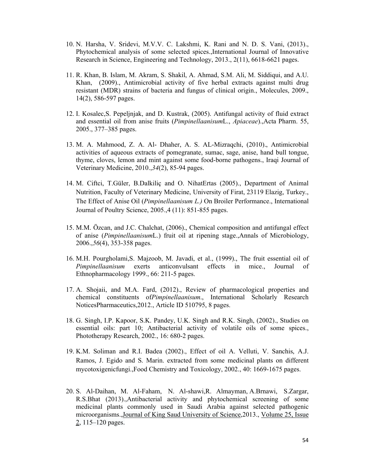- 10. N. Harsha, V. Sridevi, M.V.V. C. Lakshmi, K. Rani and N. D. S. Vani, (2013)., Phytochemical analysis of some selected spices.,International Journal of Innovative Research in Science, Engineering and Technology, 2013., 2(11), 6618-6621 pages.
- 11. R. Khan, B. Islam, M. Akram, S. Shakil, A. Ahmad, S.M. Ali, M. Siddiqui, and A.U. Khan, (2009)., Antimicrobial activity of five herbal extracts against multi drug resistant (MDR) strains of bacteria and fungus of clinical origin., Molecules, 2009., 14(2), 586-597 pages.
- 12. I. Kosalec,S. Pepeljnjak, and D. Kustrak, (2005). Antifungal activity of fluid extract and essential oil from anise fruits (*Pimpinellaanisum*L., *Apiaceae*).,Acta Pharm. 55, 2005., 377–385 pages.
- 13. M. A. Mahmood, Z. A. Al- Dhaher, A. S. AL-Mizraqchi, (2010)., Antimicrobial activities of aqueous extracts of pomegranate, sumac, sage, anise, hand bull tongue, thyme, cloves, lemon and mint against some food-borne pathogens., Iraqi Journal of Veterinary Medicine, 2010.,*34*(2), 85-94 pages.
- 14. M. Ciftci, T.Güler, B.Dalkiliç and O. NihatErtas (2005)., Department of Animal Nutrition, Faculty of Veterinary Medicine, University of Firat, 23119 Elazig, Turkey., The Effect of Anise Oil (*Pimpinellaanisum L.)* On Broiler Performance., International Journal of Poultry Science, 2005.,4 (11): 851-855 pages.
- 15. M.M. Özcan, and J.C. Chalchat, (2006)., Chemical composition and antifungal effect of anise (*Pimpinellaanisum*L.) fruit oil at ripening stage.,Annals of Microbiology, 2006.,*56*(4), 353-358 pages.
- 16. M.H. Pourgholami,S. Majzoob, M. Javadi, et al., (1999)., The fruit essential oil of *Pimpinellaanisum* exerts anticonvulsant effects in mice., Journal of Ethnopharmacology 1999., 66: 211-5 pages.
- 17. A. Shojaii, and M.A. Fard, (2012)., Review of pharmacological properties and chemical constituents of*Pimpinellaanisum*., International Scholarly Research NoticesPharmaceutics,2012., Article ID 510795, 8 pages.
- 18. G. Singh, I.P. Kapoor, S.K. Pandey, U.K. Singh and R.K. Singh, (2002)., Studies on essential oils: part 10; Antibacterial activity of volatile oils of some spices., Phototherapy Research, 2002., 16: 680-2 pages.
- 19. K.M. Soliman and R.I. Badea (2002)., Effect of oil A. Velluti, V. Sanchis, A.J. Ramos, J. Egido and S. Marin. extracted from some medicinal plants on different mycotoxigenicfungi.,Food Chemistry and Toxicology, 2002., 40: 1669-1675 pages.
- 20. S. Al-Daihan, M. Al-Faham, N. Al-shawi,R. Almayman, A.Brnawi, S.Zargar, R.S.Bhat (2013).,Antibacterial activity and phytochemical screening of some medicinal plants commonly used in Saudi Arabia against selected pathogenic microorganisms.,Journal of King Saud University of Science,2013., Volume 25, Issue 2, 115–120 pages.